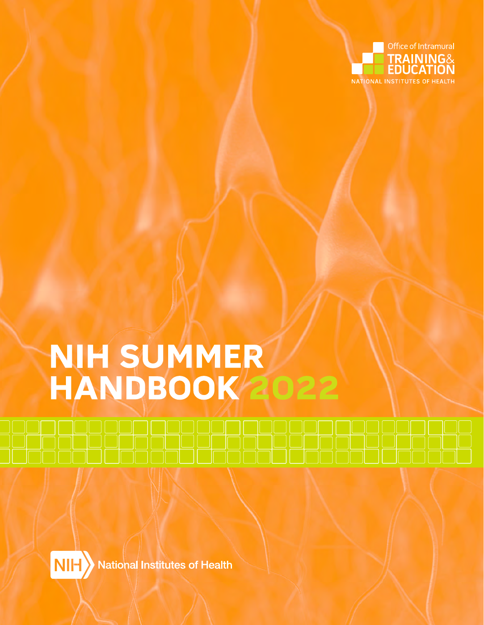

# NIH SUMMER **HANDBUUK ZU**

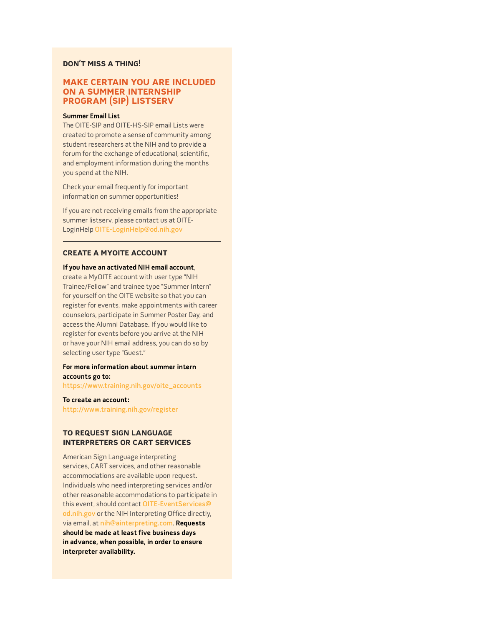### **Don't Miss A thing!**

# **MAKE CERtAin YoU ARE inCLUDED on A sUMMER intERnship pRogRAM (sip) ListsERv**

### **Summer Email List**

The OITE-SIP and OITE-HS-SIP email Lists were created to promote a sense of community among student researchers at the NIH and to provide a forum for the exchange of educational, scientific, and employment information during the months you spend at the NIH.

Check your email frequently for important information on summer opportunities!

If you are not receiving emails from the appropriate summer listserv, please contact us at OITE-LoginHelp [OITE-LoginHelp@od.nih.gov](mailto:OITE-LoginHelp@od.nih.gov)

### **CREAtE A MYoitE ACCoUnt**

#### **If you have an activated NIH email account**,

create a MyOITE account with user type "NIH Trainee/Fellow" and trainee type "Summer Intern" for yourself on the OITE website so that you can register for events, make appointments with career counselors, participate in Summer Poster Day, and access the Alumni Database. If you would like to register for events before you arrive at the NIH or have your NIH email address, you can do so by selecting user type "Guest."

### **For more information about summer intern accounts go to:**

[https://www.training.nih.gov/oite\\_accounts](https://www.training.nih.gov/oite_accounts)

**To create an account:** 

<http://www.training.nih.gov/register>

# **to REQUEst sign LAngUAgE intERpREtERs oR CARt sERviCEs**

American Sign Language interpreting services, CART services, and other reasonable accommodations are available upon request. Individuals who need interpreting services and/or other reasonable accommodations to participate in this event, should contact [OITE-EventServices@](mailto:OITE-EventServices@od.nih.gov) [od.nih.gov](mailto:OITE-EventServices@od.nih.gov) or the NIH Interpreting Office directly, via email, at [nih@ainterpreting.com](mailto:nih@ainterpreting.com). **Requests should be made at least five business days in advance, when possible, in order to ensure interpreter availability.**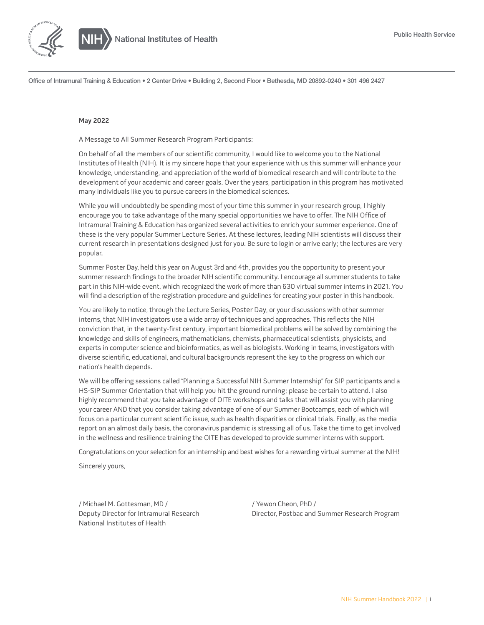

Office of Intramural Training & Education • 2 Center Drive • Building 2, Second Floor • Bethesda, MD 20892-0240 • 301 496 2427

#### **May 2022**

A Message to All Summer Research Program Participants:

On behalf of all the members of our scientific community, I would like to welcome you to the National Institutes of Health (NIH). It is my sincere hope that your experience with us this summer will enhance your knowledge, understanding, and appreciation of the world of biomedical research and will contribute to the development of your academic and career goals. Over the years, participation in this program has motivated many individuals like you to pursue careers in the biomedical sciences.

While you will undoubtedly be spending most of your time this summer in your research group, I highly encourage you to take advantage of the many special opportunities we have to offer. The NIH Office of Intramural Training & Education has organized several activities to enrich your summer experience. One of these is the very popular Summer Lecture Series. At these lectures, leading NIH scientists will discuss their current research in presentations designed just for you. Be sure to login or arrive early; the lectures are very popular.

Summer Poster Day, held this year on August 3rd and 4th, provides you the opportunity to present your summer research findings to the broader NIH scientific community. I encourage all summer students to take part in this NIH-wide event, which recognized the work of more than 630 virtual summer interns in 2021. You will find a description of the registration procedure and guidelines for creating your poster in this handbook.

You are likely to notice, through the Lecture Series, Poster Day, or your discussions with other summer interns, that NIH investigators use a wide array of techniques and approaches. This reflects the NIH conviction that, in the twenty-first century, important biomedical problems will be solved by combining the knowledge and skills of engineers, mathematicians, chemists, pharmaceutical scientists, physicists, and experts in computer science and bioinformatics, as well as biologists. Working in teams, investigators with diverse scientific, educational, and cultural backgrounds represent the key to the progress on which our nation's health depends.

We will be offering sessions called "Planning a Successful NIH Summer Internship" for SIP participants and a HS-SIP Summer Orientation that will help you hit the ground running; please be certain to attend. I also highly recommend that you take advantage of OITE workshops and talks that will assist you with planning your career AND that you consider taking advantage of one of our Summer Bootcamps, each of which will focus on a particular current scientific issue, such as health disparities or clinical trials. Finally, as the media report on an almost daily basis, the coronavirus pandemic is stressing all of us. Take the time to get involved in the wellness and resilience training the OITE has developed to provide summer interns with support.

Congratulations on your selection for an internship and best wishes for a rewarding virtual summer at the NIH!

Sincerely yours,

/ Michael M. Gottesman, MD / Deputy Director for Intramural Research National Institutes of Health

/ Yewon Cheon, PhD / Director, Postbac and Summer Research Program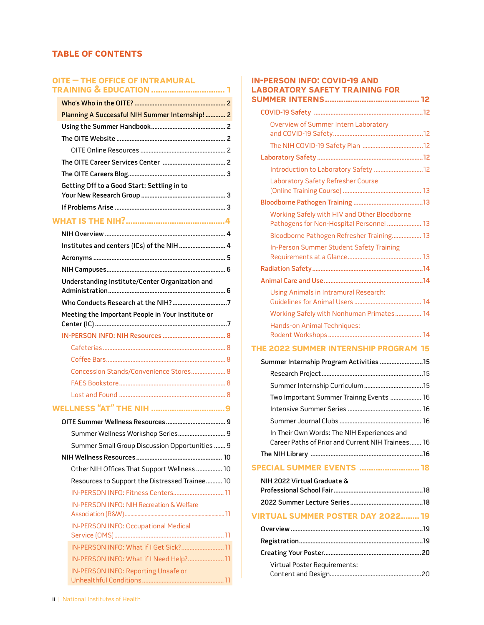# **tAbLE of ContEnts**

# **[oitE – thE offiCE of intRAMURAL](#page-5-0)**

| Meeting the Important People in Your Institute or |                                                                                                                                                                                                                                                                                                                                                                                                                                                                                                                                                                                                |
|---------------------------------------------------|------------------------------------------------------------------------------------------------------------------------------------------------------------------------------------------------------------------------------------------------------------------------------------------------------------------------------------------------------------------------------------------------------------------------------------------------------------------------------------------------------------------------------------------------------------------------------------------------|
|                                                   |                                                                                                                                                                                                                                                                                                                                                                                                                                                                                                                                                                                                |
|                                                   |                                                                                                                                                                                                                                                                                                                                                                                                                                                                                                                                                                                                |
|                                                   |                                                                                                                                                                                                                                                                                                                                                                                                                                                                                                                                                                                                |
|                                                   |                                                                                                                                                                                                                                                                                                                                                                                                                                                                                                                                                                                                |
|                                                   |                                                                                                                                                                                                                                                                                                                                                                                                                                                                                                                                                                                                |
|                                                   |                                                                                                                                                                                                                                                                                                                                                                                                                                                                                                                                                                                                |
|                                                   |                                                                                                                                                                                                                                                                                                                                                                                                                                                                                                                                                                                                |
|                                                   |                                                                                                                                                                                                                                                                                                                                                                                                                                                                                                                                                                                                |
|                                                   |                                                                                                                                                                                                                                                                                                                                                                                                                                                                                                                                                                                                |
|                                                   |                                                                                                                                                                                                                                                                                                                                                                                                                                                                                                                                                                                                |
|                                                   |                                                                                                                                                                                                                                                                                                                                                                                                                                                                                                                                                                                                |
|                                                   |                                                                                                                                                                                                                                                                                                                                                                                                                                                                                                                                                                                                |
|                                                   |                                                                                                                                                                                                                                                                                                                                                                                                                                                                                                                                                                                                |
|                                                   |                                                                                                                                                                                                                                                                                                                                                                                                                                                                                                                                                                                                |
|                                                   |                                                                                                                                                                                                                                                                                                                                                                                                                                                                                                                                                                                                |
| IN-PERSON INFO: NIH Recreation & Welfare          |                                                                                                                                                                                                                                                                                                                                                                                                                                                                                                                                                                                                |
| <b>IN-PERSON INFO: Occupational Medical</b>       |                                                                                                                                                                                                                                                                                                                                                                                                                                                                                                                                                                                                |
|                                                   |                                                                                                                                                                                                                                                                                                                                                                                                                                                                                                                                                                                                |
|                                                   |                                                                                                                                                                                                                                                                                                                                                                                                                                                                                                                                                                                                |
|                                                   |                                                                                                                                                                                                                                                                                                                                                                                                                                                                                                                                                                                                |
|                                                   |                                                                                                                                                                                                                                                                                                                                                                                                                                                                                                                                                                                                |
|                                                   | Planning A Successful NIH Summer Internship!  2<br>Getting Off to a Good Start: Settling in to<br>Institutes and centers (ICs) of the NIH  4<br>Understanding Institute/Center Organization and<br>Concession Stands/Convenience Stores 8<br><b>WELLNESS "AT" THE NIH 9</b><br>Summer Wellness Workshop Series 9<br>Summer Small Group Discussion Opportunities  9<br>Other NIH Offices That Support Wellness  10<br>Resources to Support the Distressed Trainee 10<br>IN-PERSON INFO: Fitness Centers 11<br>IN-PERSON INFO: What if I Get Sick? 11<br>IN-PERSON INFO: What if I Need Help? 11 |

# **[in-pERson info: CoviD-19 AnD](#page-16-0)  [LAboRAtoRY sAfEtY tRAining foR](#page-16-0)**

| Overview of Summer Intern Laboratory                                                             |
|--------------------------------------------------------------------------------------------------|
|                                                                                                  |
|                                                                                                  |
|                                                                                                  |
|                                                                                                  |
| Laboratory Safety Refresher Course                                                               |
|                                                                                                  |
| Working Safely with HIV and Other Bloodborne<br>Pathogens for Non-Hospital Personnel  13         |
| Bloodborne Pathogen Refresher Training 13                                                        |
| In-Person Summer Student Safety Training                                                         |
|                                                                                                  |
|                                                                                                  |
| Using Animals in Intramural Research:                                                            |
| Working Safely with Nonhuman Primates 14                                                         |
| Hands-on Animal Techniques:                                                                      |
| THE 2022 SUMMER INTERNSHIP PROGRAM 15                                                            |
| Summer Internship Program Activities  15                                                         |
|                                                                                                  |
|                                                                                                  |
| Two Important Summer Trainng Events  16                                                          |
|                                                                                                  |
|                                                                                                  |
| In Their Own Words: The NIH Experiences and<br>Career Paths of Prior and Current NIH Trainees 16 |
|                                                                                                  |
| <b>SPECIAL SUMMER EVENTS  18</b>                                                                 |
| NIH 2022 Virtual Graduate &                                                                      |

| <b>VIRTUAL SUMMER POSTER DAY 2022 19</b> |  |
|------------------------------------------|--|
|                                          |  |

| Virtual Poster Requirements: |  |
|------------------------------|--|
|                              |  |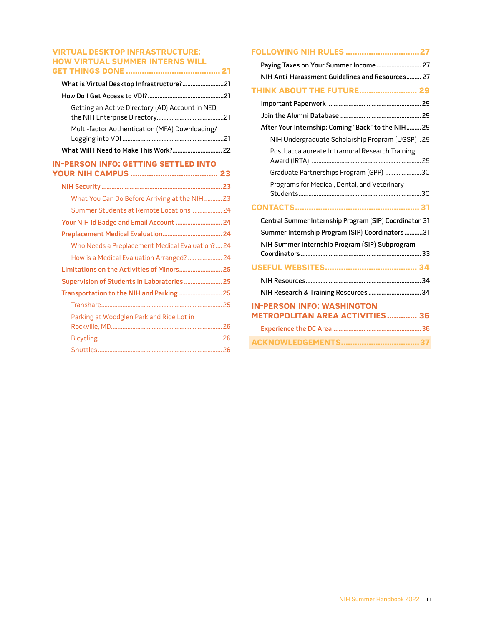## **[viRtUAL DEsKtop infRAstRUCtURE:](#page-25-0)  [hoW viRtUAL sUMMER intERns WiLL](#page-25-0)  [gEt things DonE .........................................21](#page-25-0)**

| What is Virtual Desktop Infrastructure?21        |
|--------------------------------------------------|
|                                                  |
| Getting an Active Directory (AD) Account in NED, |
| Multi-factor Authentication (MFA) Downloading/   |
|                                                  |
| <b>IN-PERSON INFO: GETTING SETTLED INTO</b>      |
|                                                  |
| What You Can Do Before Arriving at the NIH 23    |
| Summer Students at Remote Locations 24           |
| Your NIH Id Badge and Email Account  24          |
|                                                  |
| Who Needs a Preplacement Medical Evaluation? 24  |
| How is a Medical Evaluation Arranged?  24        |
|                                                  |
| Supervision of Students in Laboratories  25      |
| Transportation to the NIH and Parking  25        |
|                                                  |
| Parking at Woodglen Park and Ride Lot in         |
|                                                  |
|                                                  |
|                                                  |

| <b>FOLLOWING NIH RULES  27</b>                                              |
|-----------------------------------------------------------------------------|
| Paying Taxes on Your Summer Income 27                                       |
| NIH Anti-Harassment Guidelines and Resources 27                             |
| <b>THINK ABOUT THE FUTURE 29</b>                                            |
|                                                                             |
|                                                                             |
| After Your Internship: Coming "Back" to the NIH 29                          |
| NIH Undergraduate Scholarship Program (UGSP) .29                            |
| Postbaccalaureate Intramural Research Training                              |
| Graduate Partnerships Program (GPP) 30                                      |
| Programs for Medical, Dental, and Veterinary                                |
|                                                                             |
|                                                                             |
| Central Summer Internship Program (SIP) Coordinator 31                      |
| Summer Internship Program (SIP) Coordinators 31                             |
| NIH Summer Internship Program (SIP) Subprogram                              |
|                                                                             |
|                                                                             |
| NIH Research & Training Resources  34                                       |
| <b>IN-PERSON INFO: WASHINGTON</b><br><b>METROPOLITAN AREA ACTIVITIES 36</b> |
|                                                                             |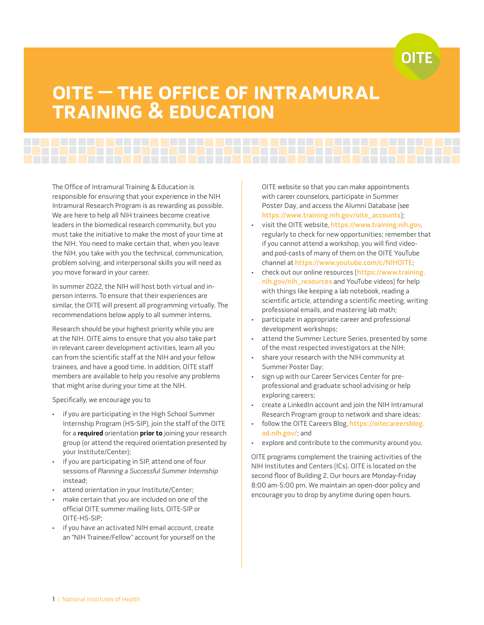# OLTE

# <span id="page-5-0"></span>**oitE – thE offiCE of intRAMURAL tRAining & EDUCAtion**

The Office of Intramural Training & Education is responsible for ensuring that your experience in the NIH Intramural Research Program is as rewarding as possible. We are here to help all NIH trainees become creative leaders in the biomedical research community, but you must take the initiative to make the most of your time at the NIH. You need to make certain that, when you leave the NIH, you take with you the technical, communication, problem solving, and interpersonal skills you will need as you move forward in your career.

In summer 2022, the NIH will host both virtual and inperson interns. To ensure that their experiences are similar, the OITE will present all programming virtually. The recommendations below apply to all summer interns.

Research should be your highest priority while you are at the NIH. OITE aims to ensure that you also take part in relevant career development activities, learn all you can from the scientific staff at the NIH and your fellow trainees, and have a good time. In addition, OITE staff members are available to help you resolve any problems that might arise during your time at the NIH.

Specifically, we encourage you to

- if you are participating in the High School Summer Internship Program (HS-SIP), join the staff of the OITE for a **required** orientation **prior to** joining your research group (or attend the required orientation presented by your Institute/Center);
- if you are participating in SIP, attend one of four sessions of Planning a Successful Summer Internship instead;
- attend orientation in your Institute/Center;
- make certain that you are included on one of the official OITE summer mailing lists, OITE-SIP or OITE-HS-SIP;
- if you have an activated NIH email account, create an "NIH Trainee/Fellow" account for yourself on the

OITE website so that you can make appointments with career counselors, participate in Summer Poster Day, and access the Alumni Database (see [https://www.training.nih.gov/oite\\_accounts](https://www.training.nih.gov/oite_accounts));

- visit the OITE website, <https://www.training.nih.gov>, regularly to check for new opportunities; remember that if you cannot attend a workshop, you will find videoand pod-casts of many of them on the OITE YouTube channel at <https://www.youtube.com/c/NIHOITE>;
- check out our online resources ([https://www.training.](https://www.training.nih.gov/nih_resources) [nih.gov/nih\\_resources](https://www.training.nih.gov/nih_resources) and YouTube videos) for help with things like keeping a lab notebook, reading a scientific article, attending a scientific meeting, writing professional emails, and mastering lab math;
- participate in appropriate career and professional development workshops;
- attend the Summer Lecture Series, presented by some of the most respected investigators at the NIH;
- share your research with the NIH community at Summer Poster Day;
- sign up with our Career Services Center for preprofessional and graduate school advising or help exploring careers;
- create a LinkedIn account and join the NIH Intramural Research Program group to network and share ideas;
- follow the OITE Careers Blog, [https://oitecareersblog.](https://oitecareersblog.od.nih.gov/) [od.nih.gov/](https://oitecareersblog.od.nih.gov/); and
- explore and contribute to the community around you.

OITE programs complement the training activities of the NIH Institutes and Centers (ICs). OITE is located on the second floor of Building 2. Our hours are Monday-Friday 8:00 am-5:00 pm. We maintain an open-door policy and encourage you to drop by anytime during open hours.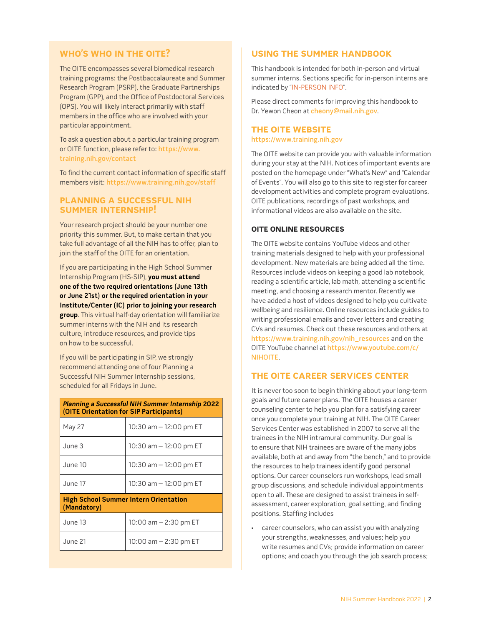# <span id="page-6-0"></span>**Who's Who in thE oitE?**

The OITE encompasses several biomedical research training programs: the Postbaccalaureate and Summer Research Program (PSRP), the Graduate Partnerships Program (GPP), and the Office of Postdoctoral Services (OPS). You will likely interact primarily with staff members in the office who are involved with your particular appointment.

To ask a question about a particular training program or OITE function, please refer to: [https://www.](https://www.training.nih.gov/contact) [training.nih.gov/contact](https://www.training.nih.gov/contact)

To find the current contact information of specific staff members visit: <https://www.training.nih.gov/staff>

# **pLAnning A sUCCEssfUL nih sUMMER intERnship!**

Your research project should be your number one priority this summer. But, to make certain that you take full advantage of all the NIH has to offer, plan to join the staff of the OITE for an orientation.

If you are participating in the High School Summer Internship Program (HS-SIP), **you must attend one of the two required orientations (June 13th or June 21st) or the required orientation in your Institute/Center (IC) prior to joining your research group**. This virtual half-day orientation will familiarize summer interns with the NIH and its research culture, introduce resources, and provide tips on how to be successful.

If you will be participating in SIP, we strongly recommend attending one of four Planning a Successful NIH Summer Internship sessions, scheduled for all Fridays in June.

| <b>Planning a Successful NIH Summer Internship 2022</b><br>(OITE Orientation for SIP Participants) |                          |  |
|----------------------------------------------------------------------------------------------------|--------------------------|--|
| May 27                                                                                             | 10:30 am $-$ 12:00 pm ET |  |
| June 3                                                                                             | 10:30 am $-$ 12:00 pm ET |  |
| June 10                                                                                            | 10:30 am $-$ 12:00 pm ET |  |
| June 17                                                                                            | 10:30 am $-$ 12:00 pm ET |  |
| <b>High School Summer Intern Orientation</b><br>(Mandatory)                                        |                          |  |
| June 13                                                                                            | 10:00 am $-$ 2:30 pm ET  |  |
| June 21                                                                                            | 10:00 am $-$ 2:30 pm ET  |  |

# **USING THE SUMMER HANDBOOK**

This handbook is intended for both in-person and virtual summer interns. Sections specific for in-person interns are indicated by "IN-PERSON INFO".

Please direct comments for improving this handbook to Dr. Yewon Cheon at [cheony@mail.nih.gov](mailto:cheony%40mail.nih.gov?subject=).

# **thE oitE WEbsitE** <https://www.training.nih.gov>

The OITE website can provide you with valuable information during your stay at the NIH. Notices of important events are posted on the homepage under "What's New" and "Calendar of Events". You will also go to this site to register for career development activities and complete program evaluations. OITE publications, recordings of past workshops, and informational videos are also available on the site.

# **oitE onLinE REsoURCEs**

The OITE website contains YouTube videos and other training materials designed to help with your professional development. New materials are being added all the time. Resources include videos on keeping a good lab notebook, reading a scientific article, lab math, attending a scientific meeting, and choosing a research mentor. Recently we have added a host of videos designed to help you cultivate wellbeing and resilience. Online resources include guides to writing professional emails and cover letters and creating CVs and resumes. Check out these resources and others at [https://www.training.nih.gov/nih\\_resources](https://www.training.nih.gov/nih_resources) and on the OITE YouTube channel at [https://www.youtube.com/c/](https://www.youtube.com/c/NIHOITE) [NIHOITE](https://www.youtube.com/c/NIHOITE).

# **thE oitE CAREER sERviCEs CEntER**

It is never too soon to begin thinking about your long-term goals and future career plans. The OITE houses a career counseling center to help you plan for a satisfying career once you complete your training at NIH. The OITE Career Services Center was established in 2007 to serve all the trainees in the NIH intramural community. Our goal is to ensure that NIH trainees are aware of the many jobs available, both at and away from "the bench," and to provide the resources to help trainees identify good personal options. Our career counselors run workshops, lead small group discussions, and schedule individual appointments open to all. These are designed to assist trainees in selfassessment, career exploration, goal setting, and finding positions. Staffing includes

• career counselors, who can assist you with analyzing your strengths, weaknesses, and values; help you write resumes and CVs; provide information on career options; and coach you through the job search process;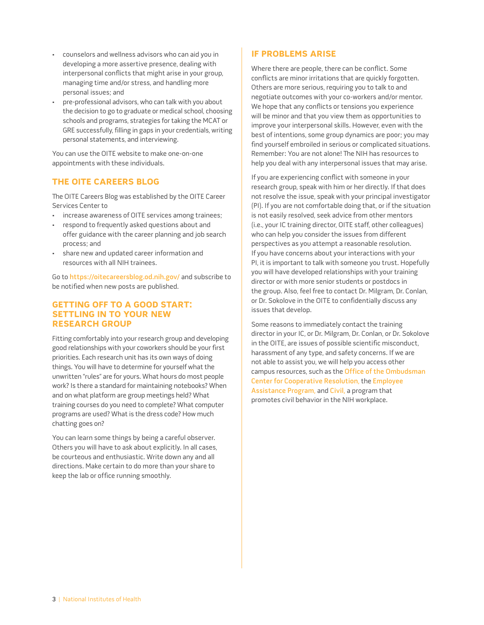- <span id="page-7-0"></span>• counselors and wellness advisors who can aid you in developing a more assertive presence, dealing with interpersonal conflicts that might arise in your group, managing time and/or stress, and handling more personal issues; and
- pre-professional advisors, who can talk with you about the decision to go to graduate or medical school, choosing schools and programs, strategies for taking the MCAT or GRE successfully, filling in gaps in your credentials, writing personal statements, and interviewing.

You can use the OITE website to make one-on-one appointments with these individuals.

# **thE oitE CAREERs bLog**

The OITE Careers Blog was established by the OITE Career Services Center to

- increase awareness of OITE services among trainees;
- respond to frequently asked questions about and offer guidance with the career planning and job search process; and
- share new and updated career information and resources with all NIH trainees.

Go to <https://oitecareersblog.od.nih.gov/> and subscribe to be notified when new posts are published.

# **GETTING OFF TO A GOOD START: sEttLing in to YoUR nEW REsEARCh gRoUp**

Fitting comfortably into your research group and developing good relationships with your coworkers should be your first priorities. Each research unit has its own ways of doing things. You will have to determine for yourself what the unwritten "rules" are for yours. What hours do most people work? Is there a standard for maintaining notebooks? When and on what platform are group meetings held? What training courses do you need to complete? What computer programs are used? What is the dress code? How much chatting goes on?

You can learn some things by being a careful observer. Others you will have to ask about explicitly. In all cases, be courteous and enthusiastic. Write down any and all directions. Make certain to do more than your share to keep the lab or office running smoothly.

# **if pRobLEMs ARisE**

Where there are people, there can be conflict. Some conflicts are minor irritations that are quickly forgotten. Others are more serious, requiring you to talk to and negotiate outcomes with your co-workers and/or mentor. We hope that any conflicts or tensions you experience will be minor and that you view them as opportunities to improve your interpersonal skills. However, even with the best of intentions, some group dynamics are poor; you may find yourself embroiled in serious or complicated situations. Remember: You are not alone! The NIH has resources to help you deal with any interpersonal issues that may arise.

If you are experiencing conflict with someone in your research group, speak with him or her directly. If that does not resolve the issue, speak with your principal investigator (PI). If you are not comfortable doing that, or if the situation is not easily resolved, seek advice from other mentors (i.e., your IC training director, OITE staff, other colleagues) who can help you consider the issues from different perspectives as you attempt a reasonable resolution. If you have concerns about your interactions with your PI, it is important to talk with someone you trust. Hopefully you will have developed relationships with your training director or with more senior students or postdocs in the group. Also, feel free to contact Dr. Milgram, Dr. Conlan, or Dr. Sokolove in the OITE to confidentially discuss any issues that develop.

Some reasons to immediately contact the training director in your IC, or Dr. Milgram, Dr. Conlan, or Dr. Sokolove in the OITE, are issues of possible scientific misconduct, harassment of any type, and safety concerns. If we are not able to assist you, we will help you access other campus resources, such as the [Office of the Ombudsman](http://ombudsman.nih.gov/)  [Center for Cooperative Resolution](http://ombudsman.nih.gov/), the [Employee](http://www.ors.od.nih.gov/sr/dohs/EAP/Pages/index.aspx)  [Assistance Program,](http://www.ors.od.nih.gov/sr/dohs/EAP/Pages/index.aspx) and [Civil](https://hr.nih.gov/working-nih/civil), a program that promotes civil behavior in the NIH workplace.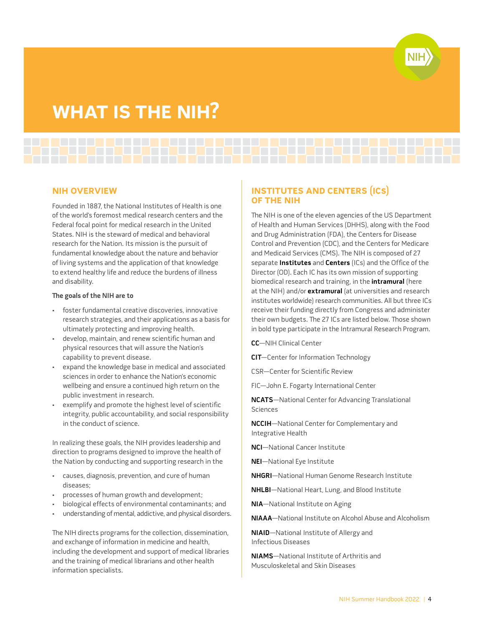# <span id="page-8-0"></span>**WhAt is thE nih?**

### **nih ovERviEW**

Founded in 1887, the National Institutes of Health is one of the world's foremost medical research centers and the Federal focal point for medical research in the United States. NIH is the steward of medical and behavioral research for the Nation. Its mission is the pursuit of fundamental knowledge about the nature and behavior of living systems and the application of that knowledge to extend healthy life and reduce the burdens of illness and disability.

#### **The goals of the NIH are to**

- foster fundamental creative discoveries, innovative research strategies, and their applications as a basis for ultimately protecting and improving health.
- develop, maintain, and renew scientific human and physical resources that will assure the Nation's capability to prevent disease.
- expand the knowledge base in medical and associated sciences in order to enhance the Nation's economic wellbeing and ensure a continued high return on the public investment in research.
- exemplify and promote the highest level of scientific integrity, public accountability, and social responsibility in the conduct of science.

In realizing these goals, the NIH provides leadership and direction to programs designed to improve the health of the Nation by conducting and supporting research in the

- causes, diagnosis, prevention, and cure of human diseases;
- processes of human growth and development;
- biological effects of environmental contaminants; and
- understanding of mental, addictive, and physical disorders.

The NIH directs programs for the collection, dissemination, and exchange of information in medicine and health, including the development and support of medical libraries and the training of medical librarians and other health information specialists.

# **institUtEs AnD CEntERs (iCs) of thE nih**

The NIH is one of the eleven agencies of the US Department of Health and Human Services (DHHS), along with the Food and Drug Administration (FDA), the Centers for Disease Control and Prevention (CDC), and the Centers for Medicare and Medicaid Services (CMS). The NIH is composed of 27 separate **Institutes** and **Centers** (ICs) and the Office of the Director (OD). Each IC has its own mission of supporting biomedical research and training, in the **intramural** (here at the NIH) and/or **extramural** (at universities and research institutes worldwide) research communities. All but three ICs receive their funding directly from Congress and administer their own budgets. The 27 ICs are listed below. Those shown in bold type participate in the Intramural Research Program.

**CC**—NIH Clinical Center

**CIT**—Center for Information Technology

CSR—Center for Scientific Review

FIC—John E. Fogarty International Center

**NCATS**—National Center for Advancing Translational **Sciences** 

**NCCIH**—National Center for Complementary and Integrative Health

**NCI**—National Cancer Institute

**NEI**—National Eye Institute

**NHGRI**—National Human Genome Research Institute

**NHLBI**—National Heart, Lung, and Blood Institute

**NIA**—National Institute on Aging

**NIAAA**—National Institute on Alcohol Abuse and Alcoholism

**NIAID**—National Institute of Allergy and Infectious Diseases

**NIAMS**—National Institute of Arthritis and Musculoskeletal and Skin Diseases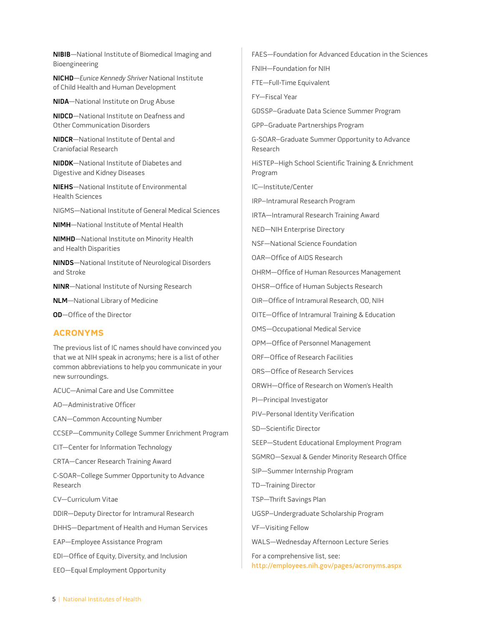<span id="page-9-0"></span>**NIBIB**—National Institute of Biomedical Imaging and Bioengineering

**NICHD**—Eunice Kennedy Shriver National Institute of Child Health and Human Development

**NIDA**—National Institute on Drug Abuse

**NIDCD**—National Institute on Deafness and Other Communication Disorders

**NIDCR**—National Institute of Dental and Craniofacial Research

**NIDDK**—National Institute of Diabetes and Digestive and Kidney Diseases

**NIEHS**—National Institute of Environmental Health Sciences

NIGMS—National Institute of General Medical Sciences

**NIMH**—National Institute of Mental Health

**NIMHD**—National Institute on Minority Health and Health Disparities

**NINDS**—National Institute of Neurological Disorders and Stroke

**NINR**—National Institute of Nursing Research

**NLM**—National Library of Medicine

**OD**—Office of the Director

### **ACRonYMs**

The previous list of IC names should have convinced you that we at NIH speak in acronyms; here is a list of other common abbreviations to help you communicate in your new surroundings.

ACUC—Animal Care and Use Committee

AO—Administrative Officer

CAN—Common Accounting Number

CCSEP—Community College Summer Enrichment Program

CIT—Center for Information Technology

CRTA—Cancer Research Training Award

C-SOAR–College Summer Opportunity to Advance Research

CV—Curriculum Vitae

DDIR—Deputy Director for Intramural Research

DHHS—Department of Health and Human Services

EAP—Employee Assistance Program

EDI—Office of Equity, Diversity, and Inclusion

EEO—Equal Employment Opportunity

FAES—Foundation for Advanced Education in the Sciences

FNIH—Foundation for NIH

FTE—Full-Time Equivalent

FY—Fiscal Year

GDSSP–Graduate Data Science Summer Program

GPP–Graduate Partnerships Program

G-SOAR–Graduate Summer Opportunity to Advance Research

HiSTEP–High School Scientific Training & Enrichment Program

IC—Institute/Center

IRP–Intramural Research Program

IRTA—Intramural Research Training Award

NED—NIH Enterprise Directory

NSF—National Science Foundation

OAR—Office of AIDS Research

OHRM—Office of Human Resources Management

OHSR—Office of Human Subjects Research

OIR—Office of Intramural Research, OD, NIH

OITE—Office of Intramural Training & Education

OMS—Occupational Medical Service

OPM—Office of Personnel Management

ORF—Office of Research Facilities

ORS—Office of Research Services

ORWH—Office of Research on Women's Health

PI—Principal Investigator

PIV–Personal Identity Verification

SD—Scientific Director

SEEP—Student Educational Employment Program

SGMRO—Sexual & Gender Minority Research Office

SIP—Summer Internship Program

TD—Training Director

TSP—Thrift Savings Plan

UGSP–Undergraduate Scholarship Program

VF—Visiting Fellow

WALS—Wednesday Afternoon Lecture Series

For a comprehensive list, see: <http://employees.nih.gov/pages/acronyms.aspx>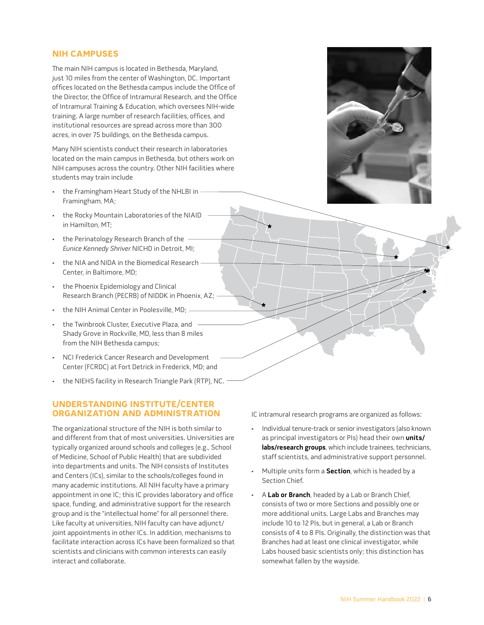# <span id="page-10-0"></span>**nih CAMpUsEs**

The main NIH campus is located in Bethesda, Maryland, just 10 miles from the center of Washington, DC. Important offices located on the Bethesda campus include the Office of the Director, the Office of Intramural Research, and the Office of Intramural Training & Education, which oversees NIH-wide training. A large number of research facilities, offices, and institutional resources are spread across more than 300 acres, in over 75 buildings, on the Bethesda campus.

Many NIH scientists conduct their research in laboratories located on the main campus in Bethesda, but others work on NIH campuses across the country. Other NIH facilities where students may train include

- the Framingham Heart Study of the NHLBI in Framingham, MA;
- the Rocky Mountain Laboratories of the NIAID in Hamilton, MT;
- the Perinatology Research Branch of the Eunice Kennedy Shriver NICHD in Detroit, MI;
- the NIA and NIDA in the Biomedical Research Center, in Baltimore, MD;
- the Phoenix Epidemiology and Clinical Research Branch (PECRB) of NIDDK in Phoenix, AZ;
- the NIH Animal Center in Poolesville, MD;
- the Twinbrook Cluster, Executive Plaza, and Shady Grove in Rockville, MD, less than 8 miles from the NIH Bethesda campus;
- NCI Frederick Cancer Research and Development Center (FCRDC) at Fort Detrick in Frederick, MD; and
- the NIEHS facility in Research Triangle Park (RTP), NC.

# **UnDERstAnDing institUtE/CEntER oRgAnizAtion AnD ADMinistRAtion**

The organizational structure of the NIH is both similar to and different from that of most universities. Universities are typically organized around schools and colleges (e.g., School of Medicine, School of Public Health) that are subdivided into departments and units. The NIH consists of Institutes and Centers (ICs), similar to the schools/colleges found in many academic institutions. All NIH faculty have a primary appointment in one IC; this IC provides laboratory and office space, funding, and administrative support for the research group and is the "intellectual home" for all personnel there. Like faculty at universities, NIH faculty can have adjunct/ joint appointments in other ICs. In addition, mechanisms to facilitate interaction across ICs have been formalized so that scientists and clinicians with common interests can easily interact and collaborate.

IC intramural research programs are organized as follows:

- Individual tenure-track or senior investigators (also known as principal investigators or PIs) head their own **units/ labs/research groups**, which include trainees, technicians, staff scientists, and administrative support personnel.
- Multiple units form a **Section**, which is headed by a Section Chief.
- A **Lab or Branch**, headed by a Lab or Branch Chief, consists of two or more Sections and possibly one or more additional units. Large Labs and Branches may include 10 to 12 PIs, but in general, a Lab or Branch consists of 4 to 8 PIs. Originally, the distinction was that Branches had at least one clinical investigator, while Labs housed basic scientists only; this distinction has somewhat fallen by the wayside.

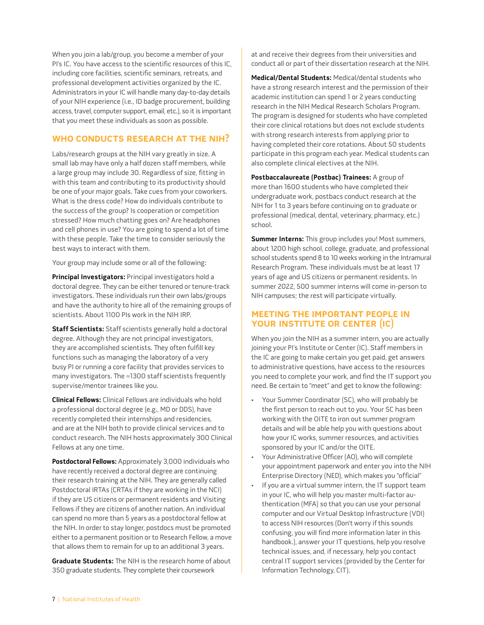<span id="page-11-0"></span>When you join a lab/group, you become a member of your PI's IC. You have access to the scientific resources of this IC, including core facilities, scientific seminars, retreats, and professional development activities organized by the IC. Administrators in your IC will handle many day-to-day details of your NIH experience (i.e., ID badge procurement, building access, travel, computer support, email, etc.), so it is important that you meet these individuals as soon as possible.

# **Who ConDUCts REsEARCh At thE nih?**

Labs/research groups at the NIH vary greatly in size. A small lab may have only a half dozen staff members, while a large group may include 30. Regardless of size, fitting in with this team and contributing to its productivity should be one of your major goals. Take cues from your coworkers. What is the dress code? How do individuals contribute to the success of the group? Is cooperation or competition stressed? How much chatting goes on? Are headphones and cell phones in use? You are going to spend a lot of time with these people. Take the time to consider seriously the best ways to interact with them.

Your group may include some or all of the following:

**Principal Investigators:** Principal investigators hold a doctoral degree. They can be either tenured or tenure-track investigators. These individuals run their own labs/groups and have the authority to hire all of the remaining groups of scientists. About 1100 PIs work in the NIH IRP.

**Staff Scientists:** Staff scientists generally hold a doctoral degree. Although they are not principal investigators, they are accomplished scientists. They often fulfill key functions such as managing the laboratory of a very busy PI or running a core facility that provides services to many investigators. The ≈1300 staff scientists frequently supervise/mentor trainees like you.

**Clinical Fellows:** Clinical Fellows are individuals who hold a professional doctoral degree (e.g., MD or DDS), have recently completed their internships and residencies, and are at the NIH both to provide clinical services and to conduct research. The NIH hosts approximately 300 Clinical Fellows at any one time.

**Postdoctoral Fellows:** Approximately 3,000 individuals who have recently received a doctoral degree are continuing their research training at the NIH. They are generally called Postdoctoral IRTAs (CRTAs if they are working in the NCI) if they are US citizens or permanent residents and Visiting Fellows if they are citizens of another nation. An individual can spend no more than 5 years as a postdoctoral fellow at the NIH. In order to stay longer, postdocs must be promoted either to a permanent position or to Research Fellow, a move that allows them to remain for up to an additional 3 years.

**Graduate Students:** The NIH is the research home of about 350 graduate students. They complete their coursework

at and receive their degrees from their universities and conduct all or part of their dissertation research at the NIH.

**Medical/Dental Students:** Medical/dental students who have a strong research interest and the permission of their academic institution can spend 1 or 2 years conducting research in the NIH Medical Research Scholars Program. The program is designed for students who have completed their core clinical rotations but does not exclude students with strong research interests from applying prior to having completed their core rotations. About 50 students participate in this program each year. Medical students can also complete clinical electives at the NIH.

**Postbaccalaureate (Postbac) Trainees:** A group of more than 1600 students who have completed their undergraduate work, postbacs conduct research at the NIH for 1 to 3 years before continuing on to graduate or professional (medical, dental, veterinary, pharmacy, etc.) school.

**Summer Interns:** This group includes you! Most summers, about 1200 high school, college, graduate, and professional school students spend 8 to 10 weeks working in the Intramural Research Program. These individuals must be at least 17 years of age and US citizens or permanent residents. In summer 2022, 500 summer interns will come in-person to NIH campuses; the rest will participate virtually.

# **MEEting thE iMpoRtAnt pEopLE in YoUR institUtE oR CEntER (iC)**

When you join the NIH as a summer intern, you are actually joining your PI's Institute or Center (IC). Staff members in the IC are going to make certain you get paid, get answers to administrative questions, have access to the resources you need to complete your work, and find the IT support you need. Be certain to "meet" and get to know the following:

- Your Summer Coordinator (SC), who will probably be the first person to reach out to you. Your SC has been working with the OITE to iron out summer program details and will be able help you with questions about how your IC works, summer resources, and activities sponsored by your IC and/or the OITE.
- Your Administrative Officer (AO), who will complete your appointment paperwork and enter you into the NIH Enterprise Directory (NED), which makes you "official"
- If you are a virtual summer intern, the IT support team in your IC, who will help you master multi-factor authentication (MFA) so that you can use your personal computer and our Virtual Desktop Infrastructure (VDI) to access NIH resources (Don't worry if this sounds confusing, you will find more information later in this handbook.), answer your IT questions, help you resolve technical issues, and, if necessary, help you contact central IT support services (provided by the Center for Information Technology, CIT).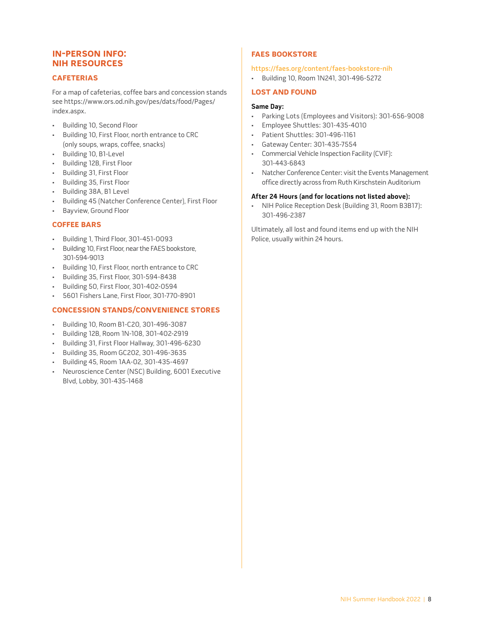# <span id="page-12-0"></span>**in-pERson info: nih REsoURCEs**

# **CAfEtERiAs**

For a map of cafeterias, coffee bars and concession stands see [https://www.ors.od.nih.gov/pes/dats/food/Pages/](https://www.ors.od.nih.gov/pes/dats/food/Pages/index.aspx) [index.aspx.](https://www.ors.od.nih.gov/pes/dats/food/Pages/index.aspx)

- Building 10, Second Floor
- Building 10, First Floor, north entrance to CRC (only soups, wraps, coffee, snacks)
- Building 10, B1-Level
- Building 12B, First Floor
- Building 31, First Floor
- Building 35, First Floor
- Building 38A, B1 Level
- Building 45 (Natcher Conference Center), First Floor
- Bayview, Ground Floor

# **CoffEE bARs**

- Building 1, Third Floor, 301-451-0093
- Building 10, First Floor, near the FAES bookstore, 301-594-9013
- Building 10, First Floor, north entrance to CRC
- Building 35, First Floor, 301-594-8438
- Building 50, First Floor, 301-402-0594
- 5601 Fishers Lane, First Floor, 301-770-8901

# **ConCEssion stAnDs/ConvEniEnCE stoREs**

- Building 10, Room B1-C20, 301-496-3087
- Building 12B, Room 1N-108, 301-402-2919
- Building 31, First Floor Hallway, 301-496-6230
- Building 35, Room GC202, 301-496-3635
- Building 45, Room 1AA-02, 301-435-4697
- Neuroscience Center (NSC) Building, 6001 Executive Blvd, Lobby, 301-435-1468

# **fAEs booKstoRE**

### <https://faes.org/content/faes-bookstore-nih>

• Building 10, Room 1N241, 301-496-5272

# **Lost AnD foUnD**

### **Same Day:**

- Parking Lots (Employees and Visitors): 301-656-9008
- Employee Shuttles: 301-435-4010
- Patient Shuttles: 301-496-1161
- Gateway Center: 301-435-7554
- Commercial Vehicle Inspection Facility (CVIF): 301-443-6843
- Natcher Conference Center: visit the Events Management office directly across from Ruth Kirschstein Auditorium

### **After 24 Hours (and for locations not listed above):**

• NIH Police Reception Desk (Building 31, Room B3B17): 301-496-2387

Ultimately, all lost and found items end up with the NIH Police, usually within 24 hours.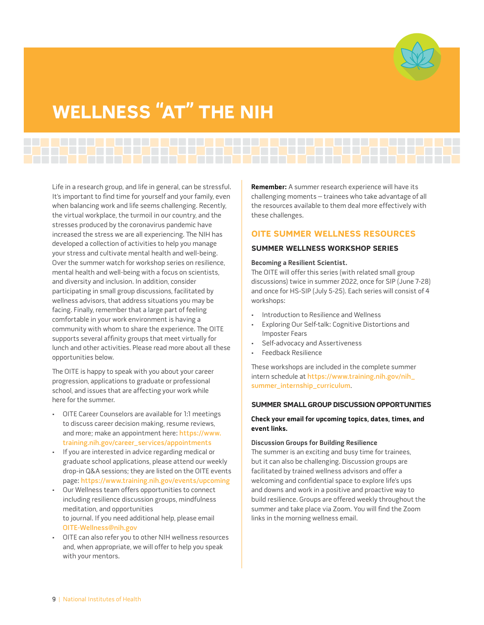

# <span id="page-13-0"></span>WELLNESS "AT" THE NIH

Life in a research group, and life in general, can be stressful. It's important to find time for yourself and your family, even when balancing work and life seems challenging. Recently, the virtual workplace, the turmoil in our country, and the stresses produced by the coronavirus pandemic have increased the stress we are all experiencing. The NIH has developed a collection of activities to help you manage your stress and cultivate mental health and well-being. Over the summer watch for workshop series on resilience, mental health and well-being with a focus on scientists, and diversity and inclusion. In addition, consider participating in small group discussions, facilitated by wellness advisors, that address situations you may be facing. Finally, remember that a large part of feeling comfortable in your work environment is having a community with whom to share the experience. The OITE supports several affinity groups that meet virtually for lunch and other activities. Please read more about all these opportunities below.

The OITE is happy to speak with you about your career progression, applications to graduate or professional school, and issues that are affecting your work while here for the summer.

- OITE Career Counselors are available for 1:1 meetings to discuss career decision making, resume reviews, and more; make an appointment here: [https://www.](https://www.training.nih.gov/career_services/appointments) [training.nih.gov/career\\_services/appointments](https://www.training.nih.gov/career_services/appointments)
- If you are interested in advice regarding medical or graduate school applications, please attend our weekly drop-in Q&A sessions; they are listed on the OITE events page: <https://www.training.nih.gov/events/upcoming>
- Our Wellness team offers opportunities to connect including resilience discussion groups, mindfulness meditation, and opportunities to journal. If you need additional help, please email [OITE-Wellness@nih.gov](mailto:OITE-Wellness@nih.gov)
- OITE can also refer you to other NIH wellness resources and, when appropriate, we will offer to help you speak with your mentors.

**Remember:** A summer research experience will have its challenging moments – trainees who take advantage of all the resources available to them deal more effectively with these challenges.

# **[oitE sUMMER WELLnEss REsoURCEs](https://www.training.nih.gov/summer_intern_wellness_at_the_nih)**

### **sUMMER WELLnEss WoRKshop sERiEs**

### **Becoming a Resilient Scientist.**

The OITE will offer this series (with related small group discussions) twice in summer 2022, once for SIP (June 7-28) and once for HS-SIP (July 5-25). Each series will consist of 4 workshops:

- Introduction to Resilience and Wellness
- Exploring Our Self-talk: Cognitive Distortions and Imposter Fears
- Self-advocacy and Assertiveness
- Feedback Resilience

These workshops are included in the complete summer intern schedule at [https://www.training.nih.gov/nih\\_](https://www.training.nih.gov/nih_summer_internship_curriculum) [summer\\_internship\\_curriculum](https://www.training.nih.gov/nih_summer_internship_curriculum).

### **sUMMER sMALL gRoUp DisCUssion oppoRtUnitiEs**

# **Check your email for upcoming topics, dates, times, and event links.**

### **Discussion Groups for Building Resilience**

The summer is an exciting and busy time for trainees, but it can also be challenging. Discussion groups are facilitated by trained wellness advisors and offer a welcoming and confidential space to explore life's ups and downs and work in a positive and proactive way to build resilience. Groups are offered weekly throughout the summer and take place via Zoom. You will find the Zoom links in the morning wellness email.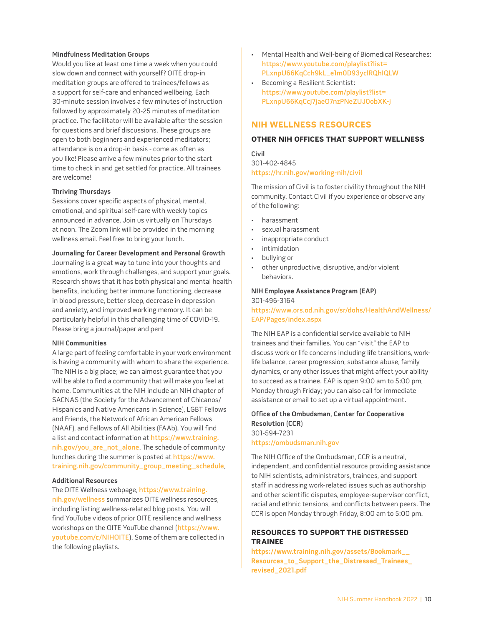### <span id="page-14-0"></span>**Mindfulness Meditation Groups**

Would you like at least one time a week when you could slow down and connect with yourself? OITE drop-in meditation groups are offered to trainees/fellows as a support for self-care and enhanced wellbeing. Each 30-minute session involves a few minutes of instruction followed by approximately 20-25 minutes of meditation practice. The facilitator will be available after the session for questions and brief discussions. These groups are open to both beginners and experienced meditators; attendance is on a drop-in basis - come as often as you like! Please arrive a few minutes prior to the start time to check in and get settled for practice. All trainees are welcome!

### **Thriving Thursdays**

Sessions cover specific aspects of physical, mental, emotional, and spiritual self-care with weekly topics announced in advance. Join us virtually on Thursdays at noon. The Zoom link will be provided in the morning wellness email. Feel free to bring your lunch.

#### **Journaling for Career Development and Personal Growth**

Journaling is a great way to tune into your thoughts and emotions, work through challenges, and support your goals. Research shows that it has both physical and mental health benefits, including better immune functioning, decrease in blood pressure, better sleep, decrease in depression and anxiety, and improved working memory. It can be particularly helpful in this challenging time of COVID-19. Please bring a journal/paper and pen!

#### **NIH Communities**

A large part of feeling comfortable in your work environment is having a community with whom to share the experience. The NIH is a big place; we can almost guarantee that you will be able to find a community that will make you feel at home. Communities at the NIH include an NIH chapter of SACNAS (the Society for the Advancement of Chicanos/ Hispanics and Native Americans in Science), LGBT Fellows and Friends, the Network of African American Fellows (NAAF), and Fellows of All Abilities (FAAb). You will find a list and contact information at [https://www.training.](https://www.training.nih.gov/you_are_not_alone) [nih.gov/you\\_are\\_not\\_alone](https://www.training.nih.gov/you_are_not_alone). The schedule of community lunches during the summer is posted at [https://www.](https://www.training.nih.gov/community_group_meeting_schedule) [training.nih.gov/community\\_group\\_meeting\\_schedule](https://www.training.nih.gov/community_group_meeting_schedule).

#### **Additional Resources**

The OITE Wellness webpage, [https://www.training.](https://www.training.nih.gov/wellness) [nih.gov/wellness](https://www.training.nih.gov/wellness) summarizes OITE wellness resources, including listing wellness-related blog posts. You will find YouTube videos of prior OITE resilience and wellness workshops on the OITE YouTube channel ([https://www.](https://www.youtube.com/c/NIHOITE) [youtube.com/c/NIHOITE](https://www.youtube.com/c/NIHOITE)). Some of them are collected in the following playlists.

- Mental Health and Well-being of Biomedical Researches: [https://www.youtube.com/playlist?list=](https://www.youtube.com/playlist?list=PLxnpU66KqCch9kL_e1m0D93yclRQhIQLW) [PLxnpU66KqCch9kL\\_e1m0D93yclRQhIQLW](https://www.youtube.com/playlist?list=PLxnpU66KqCch9kL_e1m0D93yclRQhIQLW)
- Becoming a Resilient Scientist: [https://www.youtube.com/playlist?list=](https://www.youtube.com/playlist?list=PLxnpU66KqCcj7jaeO7nzPNeZUJ0obXK-j) [PLxnpU66KqCcj7jaeO7nzPNeZUJ0obXK-j](https://www.youtube.com/playlist?list=PLxnpU66KqCcj7jaeO7nzPNeZUJ0obXK-j)

### **nih WELLnEss REsoURCEs**

### **othER nih offiCEs thAt sUppoRt WELLnEss**

**Civil**  301-402-4845 <https://hr.nih.gov/working-nih/civil>

The mission of Civil is to foster civility throughout the NIH community. Contact Civil if you experience or observe any of the following:

- harassment
- sexual harassment
- inappropriate conduct
- intimidation
- bullying or
- other unproductive, disruptive, and/or violent behaviors.

#### **NIH Employee Assistance Program (EAP)**  301-496-3164

### [https://www.ors.od.nih.gov/sr/dohs/HealthAndWellness/](https://www.ors.od.nih.gov/sr/dohs/HealthAndWellness/EAP/Pages/index.aspx) [EAP/Pages/index.aspx](https://www.ors.od.nih.gov/sr/dohs/HealthAndWellness/EAP/Pages/index.aspx)

The NIH EAP is a confidential service available to NIH trainees and their families. You can "visit" the EAP to discuss work or life concerns including life transitions, worklife balance, career progression, substance abuse, family dynamics, or any other issues that might affect your ability to succeed as a trainee. EAP is open 9:00 am to 5:00 pm, Monday through Friday; you can also call for immediate assistance or email to set up a virtual appointment.

### **Office of the Ombudsman, Center for Cooperative Resolution (CCR)**  301-594-7231

#### <https://ombudsman.nih.gov>

The NIH Office of the Ombudsman, CCR is a neutral, independent, and confidential resource providing assistance to NIH scientists, administrators, trainees, and support staff in addressing work-related issues such as authorship and other scientific disputes, employee-supervisor conflict, racial and ethnic tensions, and conflicts between peers. The CCR is open Monday through Friday, 8:00 am to 5:00 pm.

# **REsoURCEs to sUppoRt thE DistREssED tRAinEE**

**[https://www.training.nih.gov/assets/Bookmark\\_\\_](https://www.training.nih.gov/assets/Bookmark__Resources_to_Support_the_Distressed_Trainees_revised_2021.pdf) [Resources\\_to\\_Support\\_the\\_Distressed\\_Trainees\\_](https://www.training.nih.gov/assets/Bookmark__Resources_to_Support_the_Distressed_Trainees_revised_2021.pdf) [revised\\_2021.pdf](https://www.training.nih.gov/assets/Bookmark__Resources_to_Support_the_Distressed_Trainees_revised_2021.pdf)**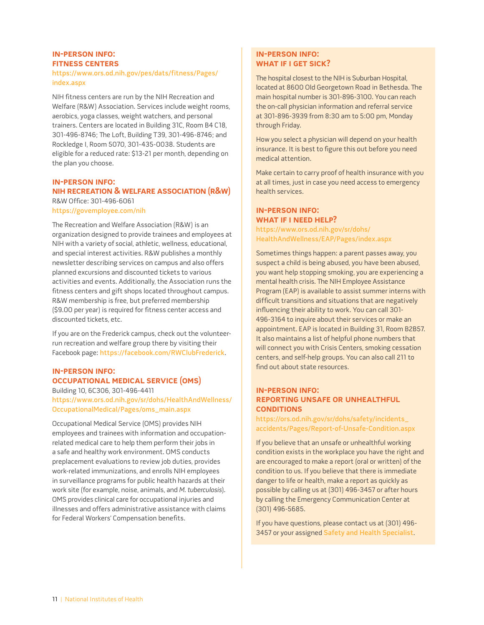# <span id="page-15-0"></span>**in-pERson info: fitnEss CEntERs**

### [https://www.ors.od.nih.gov/pes/dats/fitness/Pages/](https://www.ors.od.nih.gov/pes/dats/fitness/Pages/index.aspx) [index.aspx](https://www.ors.od.nih.gov/pes/dats/fitness/Pages/index.aspx)

NIH fitness centers are run by the NIH Recreation and Welfare (R&W) Association. Services include weight rooms, aerobics, yoga classes, weight watchers, and personal trainers. Centers are located in Building 31C, Room B4 C18, 301-496-8746; The Loft, Building T39, 301-496-8746; and Rockledge I, Room 5070, 301-435-0038. Students are eligible for a reduced rate: \$13-21 per month, depending on the plan you choose.

### **in-pERson info:**

# **nih RECREAtion & WELfARE AssoCiAtion (R&W)** R&W Office: 301-496-6061

<https://govemployee.com/nih>

The Recreation and Welfare Association (R&W) is an organization designed to provide trainees and employees at NIH with a variety of social, athletic, wellness, educational, and special interest activities. R&W publishes a monthly newsletter describing services on campus and also offers planned excursions and discounted tickets to various activities and events. Additionally, the Association runs the fitness centers and gift shops located throughout campus. R&W membership is free, but preferred membership (\$9.00 per year) is required for fitness center access and discounted tickets, etc.

If you are on the Frederick campus, check out the volunteerrun recreation and welfare group there by visiting their Facebook page: <https://facebook.com/RWClubFrederick>.

# **in-pERson info: oCCUpAtionAL MEDiCAL sERviCE (oMs)**

Building 10, 6C306, 301-496-4411 [https://www.ors.od.nih.gov/sr/dohs/HealthAndWellness/](https://www.ors.od.nih.gov/sr/dohs/HealthAndWellness/OccupationalMedical/Pages/oms_main.aspx) [OccupationalMedical/Pages/oms\\_main.aspx](https://www.ors.od.nih.gov/sr/dohs/HealthAndWellness/OccupationalMedical/Pages/oms_main.aspx)

Occupational Medical Service (OMS) provides NIH employees and trainees with information and occupationrelated medical care to help them perform their jobs in a safe and healthy work environment. OMS conducts preplacement evaluations to review job duties, provides work-related immunizations, and enrolls NIH employees in surveillance programs for public health hazards at their work site (for example, noise, animals, and M. tuberculosis). OMS provides clinical care for occupational injuries and illnesses and offers administrative assistance with claims for Federal Workers' Compensation benefits.

# **in-pERson info: WhAt if i gEt siCK?**

The hospital closest to the NIH is Suburban Hospital, located at 8600 Old Georgetown Road in Bethesda. The main hospital number is 301-896-3100. You can reach the on-call physician information and referral service at 301-896-3939 from 8:30 am to 5:00 pm, Monday through Friday.

How you select a physician will depend on your health insurance. It is best to figure this out before you need medical attention.

Make certain to carry proof of health insurance with you at all times, just in case you need access to emergency health services.

# **in-pERson info: WhAt if i nEED hELp?**

[https://www.ors.od.nih.gov/sr/dohs/](https://www.ors.od.nih.gov/sr/dohs/HealthAndWellness/EAP/Pages/index.aspx) [HealthAndWellness/EAP/Pages/index.aspx](https://www.ors.od.nih.gov/sr/dohs/HealthAndWellness/EAP/Pages/index.aspx)

Sometimes things happen: a parent passes away, you suspect a child is being abused, you have been abused, you want help stopping smoking, you are experiencing a mental health crisis. The NIH Employee Assistance Program (EAP) is available to assist summer interns with difficult transitions and situations that are negatively influencing their ability to work. You can call 301- 496-3164 to inquire about their services or make an appointment. EAP is located in Building 31, Room B2B57. It also maintains a list of helpful phone numbers that will connect you with Crisis Centers, smoking cessation centers, and self-help groups. You can also call 211 to find out about state resources.

### **in-pERson info: REpoRting UnsAfE oR UnhEALthfUL CONDITIONS**

[https://ors.od.nih.gov/sr/dohs/safety/incidents\\_](https://ors.od.nih.gov/sr/dohs/safety/incidents_accidents/Pages/Report-of-Unsafe-Condition.aspx) [accidents/Pages/Report-of-Unsafe-Condition.aspx](https://ors.od.nih.gov/sr/dohs/safety/incidents_accidents/Pages/Report-of-Unsafe-Condition.aspx)

If you believe that an unsafe or unhealthful working condition exists in the workplace you have the right and are encouraged to make a report (oral or written) of the condition to us. If you believe that there is immediate danger to life or health, make a report as quickly as possible by calling us at (301) 496-3457 or after hours by calling the Emergency Communication Center at (301) 496-5685.

If you have questions, please contact us at (301) 496- 3457 or your assigned [Safety and Health Specialist](https://ors.od.nih.gov/sr/dohs/safety/laboratory/Pages/safety_health_specialists.aspx).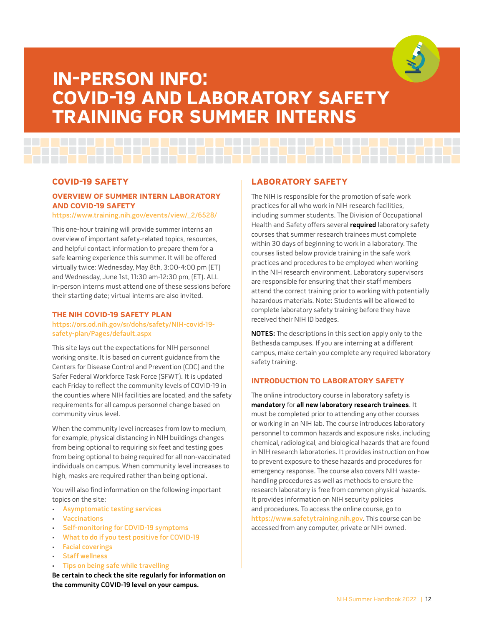

# <span id="page-16-0"></span>**in-pERson info: CoviD-19 AnD LAboRAtoRY sAfEtY tRAining foR sUMMER intERns**

# **CoviD-19 sAfEtY**

# **ovERviEW of sUMMER intERn LAboRAtoRY AnD CoviD-19 sAfEtY**

### [https://www.training.nih.gov/events/view/\\_2/6528/](https://www.training.nih.gov/events/view/_2/6528/)

This one-hour training will provide summer interns an overview of important safety-related topics, resources, and helpful contact information to prepare them for a safe learning experience this summer. It will be offered virtually twice: Wednesday, May 8th, 3:00-4:00 pm (ET) and Wednesday, June 1st, 11:30 am-12:30 pm, (ET). ALL in-person interns must attend one of these sessions before their starting date; virtual interns are also invited.

### **thE nih CoviD-19 sAfEtY pLAn**

### [https://ors.od.nih.gov/sr/dohs/safety/NIH-covid-19](https://ors.od.nih.gov/sr/dohs/safety/NIH-covid-19-safety-plan/Pages/default.aspx) [safety-plan/Pages/default.aspx](https://ors.od.nih.gov/sr/dohs/safety/NIH-covid-19-safety-plan/Pages/default.aspx)

This site lays out the expectations for NIH personnel working onsite. It is based on current guidance from the Centers for Disease Control and Prevention (CDC) and the Safer Federal Workforce Task Force (SFWT). It is updated each Friday to reflect the community levels of COVID-19 in the counties where NIH facilities are located, and the safety requirements for all campus personnel change based on community virus level.

When the community level increases from low to medium, for example, physical distancing in NIH buildings changes from being optional to requiring six feet and testing goes from being optional to being required for all non-vaccinated individuals on campus. When community level increases to high, masks are required rather than being optional.

You will also find information on the following important topics on the site:

- [Asymptomatic testing services](https://ors.od.nih.gov/sr/dohs/safety/NIH-covid-19-safety-plan/COVID-assessment-testing/Pages/covid-19-testing.aspx#testing)
- [Vaccinations](https://ors.od.nih.gov/sr/dohs/safety/NIH-covid-19-safety-plan/vaccine-requirements/Pages/vaccination-requirements.aspx)
- [Self-monitoring for COVID-19 symptoms](https://ors.od.nih.gov/sr/dohs/safety/NIH-covid-19-safety-plan/personal-safety-guidance/Pages/self-monitoring.aspx)
- [What to do if you test positive for COVID-19](https://ors.od.nih.gov/sr/dohs/safety/NIH-covid-19-safety-plan/COVID-assessment-testing/Pages/test-positive.aspx#tests-positive)
- [Facial coverings](https://ors.od.nih.gov/sr/dohs/safety/NIH-covid-19-safety-plan/personal-safety-guidance/Pages/facial-coverings.aspx)
- **[Staff wellness](https://ors.od.nih.gov/sr/dohs/safety/NIH-covid-19-safety-plan/personal-safety-guidance/Pages/staff-wellness.aspx)**
- [Tips on being safe while travelling](https://ors.od.nih.gov/sr/dohs/safety/NIH-covid-19-safety-plan/general-travel-guidance/Pages/travel-recommendations.aspx)

**Be certain to check the site regularly for information on the community COVID-19 level on your campus.**

# **LAboRAtoRY sAfEtY**

The NIH is responsible for the promotion of safe work practices for all who work in NIH research facilities, including summer students. The Division of Occupational Health and Safety offers several **required** laboratory safety courses that summer research trainees must complete within 30 days of beginning to work in a laboratory. The courses listed below provide training in the safe work practices and procedures to be employed when working in the NIH research environment. Laboratory supervisors are responsible for ensuring that their staff members attend the correct training prior to working with potentially hazardous materials. Note: Students will be allowed to complete laboratory safety training before they have received their NIH ID badges.

**NOTES:** The descriptions in this section apply only to the Bethesda campuses. If you are interning at a different campus, make certain you complete any required laboratory safety training.

### **intRoDUCtion to LAboRAtoRY sAfEtY**

The online introductory course in laboratory safety is **mandatory** for **all new laboratory research trainees**. It must be completed prior to attending any other courses or working in an NIH lab. The course introduces laboratory personnel to common hazards and exposure risks, including chemical, radiological, and biological hazards that are found in NIH research laboratories. It provides instruction on how to prevent exposure to these hazards and procedures for emergency response. The course also covers NIH wastehandling procedures as well as methods to ensure the research laboratory is free from common physical hazards. It provides information on NIH security policies and procedures. To access the online course, go to <https://www.safetytraining.nih.gov>. This course can be accessed from any computer, private or NIH owned.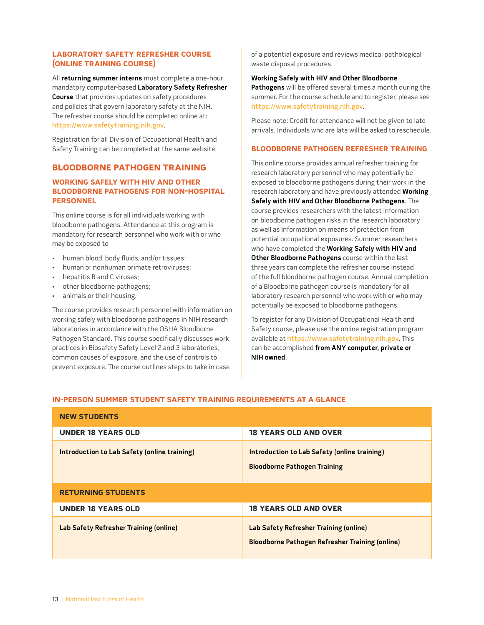# <span id="page-17-0"></span>**LAboRAtoRY sAfEtY REfREshER CoURsE (onLinE tRAining CoURsE)**

All **returning summer interns** must complete a one-hour mandatory computer-based **Laboratory Safety Refresher Course** that provides updates on safety procedures and policies that govern laboratory safety at the NIH. The refresher course should be completed online at: <https://www.safetytraining.nih.gov>.

Registration for all Division of Occupational Health and Safety Training can be completed at the same website.

# **bLooDboRnE pAthogEn tRAining**

# **WoRKing sAfELY With hiv AnD othER bLooDboRnE pAthogEns foR non-hospitAL pERsonnEL**

This online course is for all individuals working with bloodborne pathogens. Attendance at this program is mandatory for research personnel who work with or who may be exposed to

- human blood, body fluids, and/or tissues;
- human or nonhuman primate retroviruses;
- hepatitis B and C viruses;
- other bloodborne pathogens;
- animals or their housing.

The course provides research personnel with information on working safely with bloodborne pathogens in NIH research laboratories in accordance with the OSHA Bloodborne Pathogen Standard. This course specifically discusses work practices in Biosafety Safety Level 2 and 3 laboratories, common causes of exposure, and the use of controls to prevent exposure. The course outlines steps to take in case

of a potential exposure and reviews medical pathological waste disposal procedures.

#### **Working Safely with HIV and Other Bloodborne**

**Pathogens** will be offered several times a month during the summer. For the course schedule and to register, please see <https://www.safetytraining.nih.gov>.

Please note: Credit for attendance will not be given to late arrivals. Individuals who are late will be asked to reschedule.

### **bLooDboRnE pAthogEn REfREshER tRAining**

This online course provides annual refresher training for research laboratory personnel who may potentially be exposed to bloodborne pathogens during their work in the research laboratory and have previously attended **Working Safely with HIV and Other Bloodborne Pathogens**. The course provides researchers with the latest information on bloodborne pathogen risks in the research laboratory as well as information on means of protection from potential occupational exposures. Summer researchers who have completed the **Working Safely with HIV and Other Bloodborne Pathogens** course within the last three years can complete the refresher course instead of the full bloodborne pathogen course. Annual completion of a Bloodborne pathogen course is mandatory for all laboratory research personnel who work with or who may potentially be exposed to bloodborne pathogens.

To register for any Division of Occupational Health and Safety course, please use the online registration program available at <https://www.safetytraining.nih.gov>. This can be accomplished **from ANY computer, private or NIH owned**.

### **in-pERson sUMMER stUDEnt sAfEtY tRAining REQUiREMEnts At A gLAnCE**

| <b>NEW STUDENTS</b>                           |                                                                                                         |
|-----------------------------------------------|---------------------------------------------------------------------------------------------------------|
| <b>UNDER 18 YEARS OLD</b>                     | <b>18 YEARS OLD AND OVER</b>                                                                            |
| Introduction to Lab Safety (online training)  | Introduction to Lab Safety (online training)<br><b>Bloodborne Pathogen Training</b>                     |
| <b>RETURNING STUDENTS</b>                     |                                                                                                         |
| <b>UNDER 18 YEARS OLD</b>                     | <b>18 YEARS OLD AND OVER</b>                                                                            |
| <b>Lab Safety Refresher Training (online)</b> | <b>Lab Safety Refresher Training (online)</b><br><b>Bloodborne Pathogen Refresher Training (online)</b> |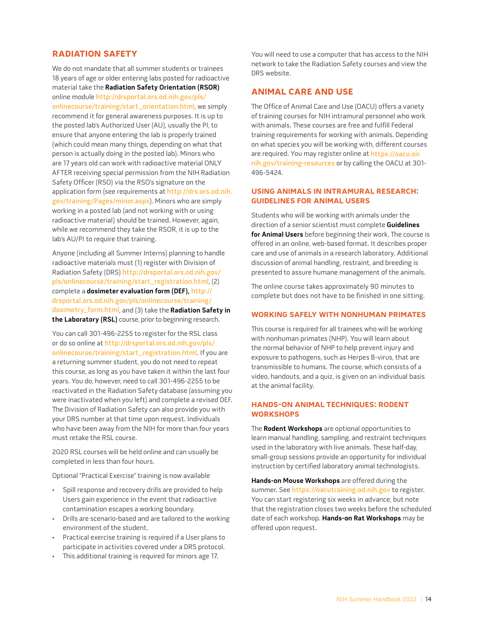# <span id="page-18-0"></span>**Radiation Safety**

We do not mandate that all summer students or trainees 18 years of age or older entering labs posted for radioactive material take the **Radiation Safety Orientation (RSOR)** online module [http://drsportal.ors.od.nih.gov/pls/](http://drsportal.ors.od.nih.gov/pls/onlinecourse/training/start_orientation.html) [onlinecourse/training/start\\_orientation.html](http://drsportal.ors.od.nih.gov/pls/onlinecourse/training/start_orientation.html), we simply recommend it for general awareness purposes. It is up to the posted lab's Authorized User (AU), usually the PI, to ensure that anyone entering the lab is properly trained (which could mean many things, depending on what that person is actually doing in the posted lab). Minors who are 17 years old can work with radioactive material ONLY AFTER receiving special permission from the NIH Radiation Safety Officer (RSO) via the RSO's signature on the application form (see requirements at [http://drs.ors.od.nih.](http://drs.ors.od.nih.gov/training/Pages/minor.aspx) [gov/training/Pages/minor.aspx](http://drs.ors.od.nih.gov/training/Pages/minor.aspx)). Minors who are simply working in a posted lab (and not working with or using radioactive material) should be trained. However, again, while we recommend they take the RSOR, it is up to the lab's AU/PI to require that training.

Anyone (including all Summer Interns) planning to handle radioactive materials must (1) register with Division of Radiation Safety (DRS) [http://drsportal.ors.od.nih.gov/](http://drsportal.ors.od.nih.gov/pls/onlinecourse/training/start_registration.html) [pls/onlinecourse/training/start\\_registration.html](http://drsportal.ors.od.nih.gov/pls/onlinecourse/training/start_registration.html), (2) complete a **dosimeter evaluation form (DEF),** [http://](http://drsportal.ors.od.nih.gov/pls/onlinecourse/training/dosimetry_form.html) [drsportal.ors.od.nih.gov/pls/onlinecourse/training/](http://drsportal.ors.od.nih.gov/pls/onlinecourse/training/dosimetry_form.html) [dosimetry\\_form.html](http://drsportal.ors.od.nih.gov/pls/onlinecourse/training/dosimetry_form.html), and (3) take the **Radiation Safety in the Laboratory (RSL)** course, prior to beginning research.

You can call 301-496-2255 to register for the RSL class or do so online at [http://drsportal.ors.od.nih.gov/pls/](http://drsportal.ors.od.nih.gov/pls/onlinecourse/training/start_registration.html) [onlinecourse/training/start\\_registration.html](http://drsportal.ors.od.nih.gov/pls/onlinecourse/training/start_registration.html). If you are a returning summer student, you do not need to repeat this course, as long as you have taken it within the last four years. You do, however, need to call 301-496-2255 to be reactivated in the Radiation Safety database (assuming you were inactivated when you left) and complete a revised DEF. The Division of Radiation Safety can also provide you with your DRS number at that time upon request. Individuals who have been away from the NIH for more than four years must retake the RSL course.

2020 RSL courses will be held online and can usually be completed in less than four hours.

Optional "Practical Exercise" training is now available

- Spill response and recovery drills are provided to help Users gain experience in the event that radioactive contamination escapes a working boundary.
- Drills are scenario-based and are tailored to the working environment of the student.
- Practical exercise training is required if a User plans to participate in activities covered under a DRS protocol.
- This additional training is required for minors age 17.

You will need to use a computer that has access to the NIH network to take the Radiation Safety courses and view the DRS website.

# **Animal Care and Use**

The Office of Animal Care and Use (OACU) offers a variety of training courses for NIH intramural personnel who work with animals. These courses are free and fulfill Federal training requirements for working with animals. Depending on what species you will be working with, different courses are required. You may register online at [https://oacu.oir.](https://oacu.oir.nih.gov/training-resources) [nih.gov/training-resources](https://oacu.oir.nih.gov/training-resources) or by calling the OACU at 301- 496-5424.

### **Using Animals in Intramural Research: Guidelines for Animal Users**

Students who will be working with animals under the direction of a senior scientist must complete **Guidelines for Animal Users** before beginning their work. The course is offered in an online, web-based format. It describes proper care and use of animals in a research laboratory. Additional discussion of animal handling, restraint, and breeding is presented to assure humane management of the animals.

The online course takes approximately 90 minutes to complete but does not have to be finished in one sitting.

## **Working Safely with Nonhuman Primates**

This course is required for all trainees who will be working with nonhuman primates (NHP). You will learn about the normal behavior of NHP to help prevent injury and exposure to pathogens, such as Herpes B-virus, that are transmissible to humans. The course, which consists of a video, handouts, and a quiz, is given on an individual basis at the animal facility.

### **HANDS-ON ANIMAL TECHNIQUES: RODENT Workshops**

The **Rodent Workshops** are optional opportunities to learn manual handling, sampling, and restraint techniques used in the laboratory with live animals. These half-day, small-group sessions provide an opportunity for individual instruction by certified laboratory animal technologists.

**Hands-on Mouse Workshops** are offered during the summer. See <https://oacutraining.od.nih.gov> to register. You can start registering six weeks in advance, but note that the registration closes two weeks before the scheduled date of each workshop. **Hands-on Rat Workshops** may be offered upon request.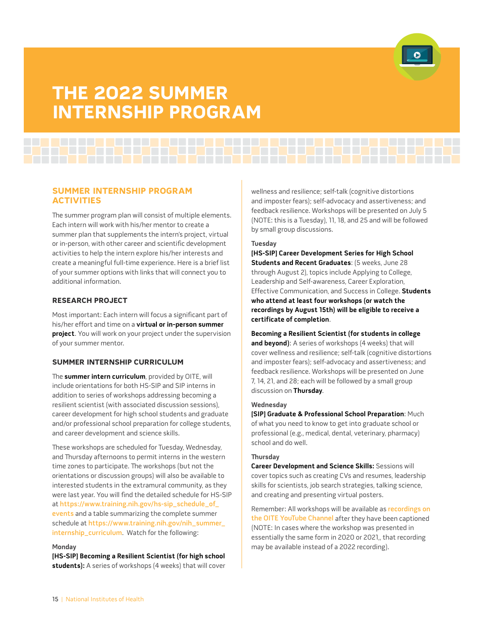

# <span id="page-19-0"></span>**thE 2022 sUMMER intERnship pRogRAM**

# **sUMMER intERnship pRogRAM ACtivitiEs**

The summer program plan will consist of multiple elements. Each intern will work with his/her mentor to create a summer plan that supplements the intern's project, virtual or in-person, with other career and scientific development activities to help the intern explore his/her interests and create a meaningful full-time experience. Here is a brief list of your summer options with links that will connect you to additional information.

### **REsEARCh pRojECt**

Most important: Each intern will focus a significant part of his/her effort and time on a **virtual or in-person summer project**. You will work on your project under the supervision of your summer mentor.

# **sUMMER intERnship CURRiCULUM**

The **summer intern curriculum**, provided by OITE, will include orientations for both HS-SIP and SIP interns in addition to series of workshops addressing becoming a resilient scientist (with associated discussion sessions), career development for high school students and graduate and/or professional school preparation for college students, and career development and science skills.

These workshops are scheduled for Tuesday, Wednesday, and Thursday afternoons to permit interns in the western time zones to participate. The workshops (but not the orientations or discussion groups) will also be available to interested students in the extramural community, as they were last year. You will find the detailed schedule for HS-SIP at [https://www.training.nih.gov/hs-sip\\_schedule\\_of\\_](https://www.training.nih.gov/hs-sip_schedule_of_events) [events](https://www.training.nih.gov/hs-sip_schedule_of_events) and a table summarizing the complete summer schedule at [https://www.training.nih.gov/nih\\_summer\\_](https://www.training.nih.gov/nih_summer_internship_curriculum) [internship\\_curriculum](https://www.training.nih.gov/nih_summer_internship_curriculum). Watch for the following:

#### **Monday**

**[HS-SIP] Becoming a Resilient Scientist (for high school students):** A series of workshops (4 weeks) that will cover wellness and resilience; self-talk (cognitive distortions and imposter fears); self-advocacy and assertiveness; and feedback resilience. Workshops will be presented on July 5 (NOTE: this is a Tuesday), 11, 18, and 25 and will be followed by small group discussions.

### **Tuesday**

**[HS-SIP] Career Development Series for High School Students and Recent Graduates**: (5 weeks, June 28 through August 2), topics include Applying to College, Leadership and Self-awareness, Career Exploration, Effective Communication, and Success in College. **Students who attend at least four workshops (or watch the recordings by August 15th) will be eligible to receive a certificate of completion**.

**Becoming a Resilient Scientist (for students in college**  and beyond): A series of workshops (4 weeks) that will cover wellness and resilience; self-talk (cognitive distortions and imposter fears); self-advocacy and assertiveness; and feedback resilience. Workshops will be presented on June 7, 14, 21, and 28; each will be followed by a small group discussion on **Thursday**.

### **Wednesday**

**[SIP] Graduate & Professional School Preparation**: Much of what you need to know to get into graduate school or professional (e.g., medical, dental, veterinary, pharmacy) school and do well.

### **Thursday**

**Career Development and Science Skills:** Sessions will cover topics such as creating CVs and resumes, leadership skills for scientists, job search strategies, talking science, and creating and presenting virtual posters.

Remember: All workshops will be available as [recordings on](https://www.youtube.com/channel/UCQQHo_QnuBxdfcsRy4INGGw)  [the OITE YouTube Channel](https://www.youtube.com/channel/UCQQHo_QnuBxdfcsRy4INGGw) after they have been captioned (NOTE: In cases where the workshop was presented in essentially the same form in 2020 or 2021,, that recording may be available instead of a 2022 recording).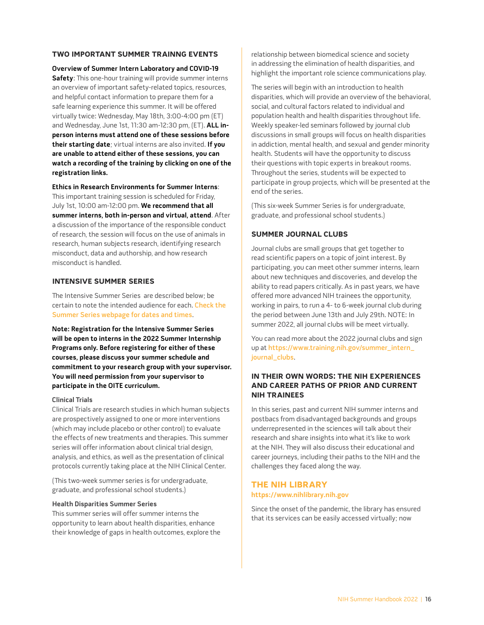### <span id="page-20-0"></span>**tWo iMpoRtAnt sUMMER tRAinng EvEnts**

**Overview of Summer Intern Laboratory and COVID-19 Safety**: This one-hour training will provide summer interns an overview of important safety-related topics, resources, and helpful contact information to prepare them for a safe learning experience this summer. It will be offered virtually twice: Wednesday, May 18th, 3:00-4:00 pm (ET) and Wednesday, June 1st, 11:30 am-12:30 pm, (ET). **ALL inperson interns must attend one of these sessions before their starting date**; virtual interns are also invited. **If you are unable to attend either of these sessions, you can watch a recording of the training by clicking on one of the registration links.**

**Ethics in Research Environments for Summer Interns**: This important training session is scheduled for Friday, July 1st, 10:00 am-12:00 pm. **We recommend that all summer interns, both in-person and virtual, attend**. After a discussion of the importance of the responsible conduct of research, the session will focus on the use of animals in research, human subjects research, identifying research misconduct, data and authorship, and how research misconduct is handled.

### **intEnsivE sUMMER sERiEs**

The Intensive Summer Series are described below; be certain to note the intended audience for each. [Check the](https://www.training.nih.gov/intensive_summer_series_descriptions)  [Summer Series webpage for dates and times](https://www.training.nih.gov/intensive_summer_series_descriptions).

**Note: Registration for the Intensive Summer Series will be open to interns in the 2022 Summer Internship Programs only. Before registering for either of these courses, please discuss your summer schedule and commitment to your research group with your supervisor. You will need permission from your supervisor to participate in the OITE curriculum.**

#### **Clinical Trials**

Clinical Trials are research studies in which human subjects are prospectively assigned to one or more interventions (which may include placebo or other control) to evaluate the effects of new treatments and therapies. This summer series will offer information about clinical trial design, analysis, and ethics, as well as the presentation of clinical protocols currently taking place at the NIH Clinical Center.

(This two-week summer series is for undergraduate, graduate, and professional school students.)

### **Health Disparities Summer Series**

This summer series will offer summer interns the opportunity to learn about health disparities, enhance their knowledge of gaps in health outcomes, explore the

relationship between biomedical science and society in addressing the elimination of health disparities, and highlight the important role science communications play.

The series will begin with an introduction to health disparities, which will provide an overview of the behavioral, social, and cultural factors related to individual and population health and health disparities throughout life. Weekly speaker-led seminars followed by journal club discussions in small groups will focus on health disparities in addiction, mental health, and sexual and gender minority health. Students will have the opportunity to discuss their questions with topic experts in breakout rooms. Throughout the series, students will be expected to participate in group projects, which will be presented at the end of the series.

(This six-week Summer Series is for undergraduate, graduate, and professional school students.)

### **sUMMER joURnAL CLUbs**

Journal clubs are small groups that get together to read scientific papers on a topic of joint interest. By participating, you can meet other summer interns, learn about new techniques and discoveries, and develop the ability to read papers critically. As in past years, we have offered more advanced NIH trainees the opportunity, working in pairs, to run a 4- to 6-week journal club during the period between June 13th and July 29th. NOTE: In summer 2022, all journal clubs will be meet virtually.

You can read more about the 2022 journal clubs and sign up at [https://www.training.nih.gov/summer\\_intern\\_](https://www.training.nih.gov/summer_intern_journal_clubs) journal clubs.

# **in thEiR oWn WoRDs: thE nih ExpERiEnCEs AnD CAREER pAths of pRioR AnD CURREnt nih tRAinEEs**

In this series, past and current NIH summer interns and postbacs from disadvantaged backgrounds and groups underrepresented in the sciences will talk about their research and share insights into what it's like to work at the NIH. They will also discuss their educational and career journeys, including their paths to the NIH and the challenges they faced along the way.

# **thE nih LibRARY <https://www.nihlibrary.nih.gov>**

Since the onset of the pandemic, the library has ensured that its services can be easily accessed virtually; now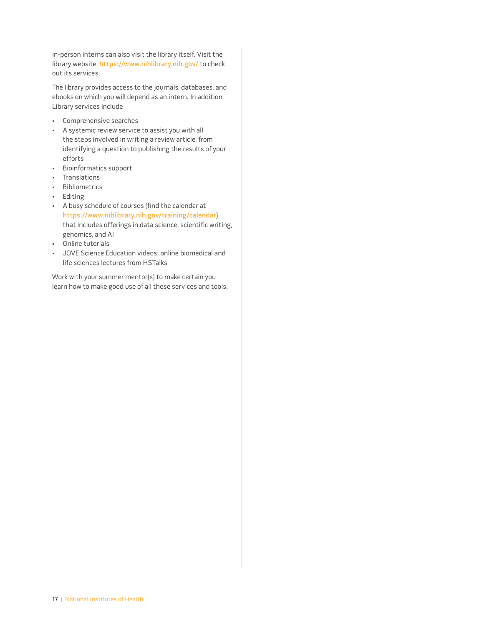in-person interns can also visit the library itself. Visit the library website, [https://www.nihlibrary.nih.gov/](https://www.nihlibrary.nih.gov) to check out its services.

The library provides access to the journals, databases, and ebooks on which you will depend as an intern. In addition, Library services include

- Comprehensive searches
- A systemic review service to assist you with all the steps involved in writing a review article, from identifying a question to publishing the results of your efforts
- Bioinformatics support
- Translations
- Bibliometrics
- Editing
- A busy schedule of courses (find the calendar at <https://www.nihlibrary.nih.gov/training/calendar>) that includes offerings in data science, scientific writing, genomics, and AI
- Online tutorials
- JOVE Science Education videos; online biomedical and life sciences lectures from HSTalks

Work with your summer mentor(s) to make certain you learn how to make good use of all these services and tools.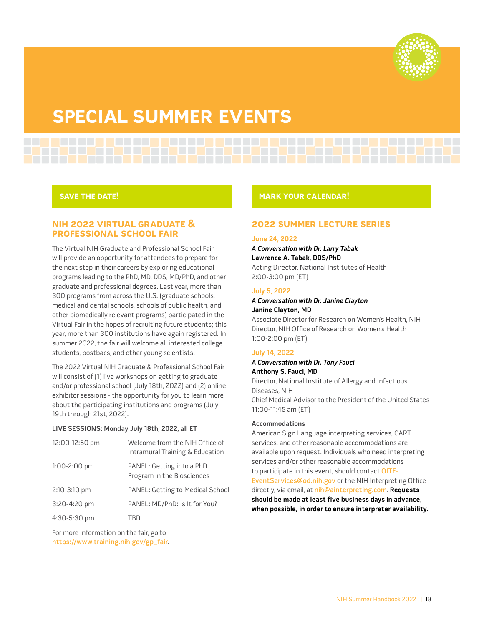

# <span id="page-22-0"></span>**spECiAL sUMMER EvEnts**

# **SAVE THE DATE!**

# **nih 2022 viRtUAL gRADUAtE & pRofEssionAL sChooL fAiR**

The Virtual NIH Graduate and Professional School Fair will provide an opportunity for attendees to prepare for the next step in their careers by exploring educational programs leading to the PhD, MD, DDS, MD/PhD, and other graduate and professional degrees. Last year, more than 300 programs from across the U.S. (graduate schools, medical and dental schools, schools of public health, and other biomedically relevant programs) participated in the Virtual Fair in the hopes of recruiting future students; this year, more than 300 institutions have again registered. In summer 2022, the fair will welcome all interested college students, postbacs, and other young scientists.

The 2022 Virtual NIH Graduate & Professional School Fair will consist of (1) live workshops on getting to graduate and/or professional school (July 18th, 2022) and (2) online exhibitor sessions - the opportunity for you to learn more about the participating institutions and programs (July 19th through 21st, 2022).

### **LIVE SESSIONS: Monday July 18th, 2022, all ET**

| 12:00-12:50 pm | Welcome from the NIH Office of<br>Intramural Training & Education |
|----------------|-------------------------------------------------------------------|
| $1:00-2:00$ pm | PANEL: Getting into a PhD<br>Program in the Biosciences           |
| 2:10-3:10 pm   | <b>PANEL: Getting to Medical School</b>                           |
| 3:20-4:20 pm   | PANEL: MD/PhD: Is It for You?                                     |
| 4:30-5:30 pm   | TRD                                                               |

For more information on the fair, go to [https://www.training.nih.gov/gp\\_fair](https://www.training.nih.gov/gp_fair).

### **MARK YoUR CALEnDAR!**

# **2022 SUMMER LECTURE SERIES**

### **June 24, 2022**

## **A Conversation with Dr. Larry Tabak Lawrence A. Tabak, DDS/PhD**  Acting Director, National Institutes of Health 2:00-3:00 pm (ET)

# **July 5, 2022**

# **A Conversation with Dr. Janine Clayton Janine Clayton, MD**

Associate Director for Research on Women's Health, NIH Director, NIH Office of Research on Women's Health 1:00-2:00 pm (ET)

### **July 14, 2022**

**A Conversation with Dr. Tony Fauci Anthony S. Fauci, MD**

Director, National Institute of Allergy and Infectious Diseases, NIH Chief Medical Advisor to the President of the United States 11:00-11:45 am (ET)

### **Accommodations**

American Sign Language interpreting services, CART services, and other reasonable accommodations are available upon request. Individuals who need interpreting services and/or other reasonable accommodations to participate in this event, should contact [OITE-](mailto:OITE-EventServices@od.nih.gov)[EventServices@od.nih.gov](mailto:OITE-EventServices@od.nih.gov) or the NIH Interpreting Office directly, via email, at [nih@ainterpreting.com](mailto:nih@ainterpreting.com). **Requests should be made at least five business days in advance, when possible, in order to ensure interpreter availability.**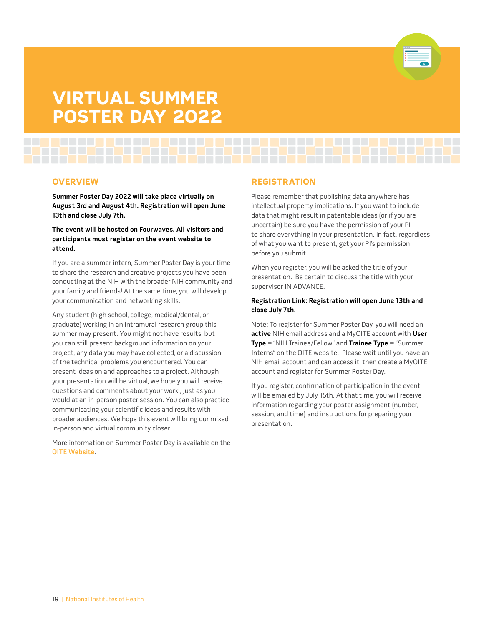

# <span id="page-23-0"></span>**viRtUAL sUMMER postER DAY 2022**

### **ovERviEW**

**Summer Poster Day 2022 will take place virtually on August 3rd and August 4th. Registration will open June 13th and close July 7th.**

**The event will be hosted on Fourwaves. All visitors and participants must register on the event website to attend.** 

If you are a summer intern, Summer Poster Day is your time to share the research and creative projects you have been conducting at the NIH with the broader NIH community and your family and friends! At the same time, you will develop your communication and networking skills.

Any student (high school, college, medical/dental, or graduate) working in an intramural research group this summer may present. You might not have results, but you can still present background information on your project, any data you may have collected, or a discussion of the technical problems you encountered. You can present ideas on and approaches to a project. Although your presentation will be virtual, we hope you will receive questions and comments about your work , just as you would at an in-person poster session. You can also practice communicating your scientific ideas and results with broader audiences. We hope this event will bring our mixed in-person and virtual community closer.

More information on Summer Poster Day is available on the [OITE Website](https://www.training.nih.gov/summer_poster_day).

# **REgistRAtion**

Please remember that publishing data anywhere has intellectual property implications. If you want to include data that might result in patentable ideas (or if you are uncertain) be sure you have the permission of your PI to share everything in your presentation. In fact, regardless of what you want to present, get your PI's permission before you submit.

When you register, you will be asked the title of your presentation. Be certain to discuss the title with your supervisor IN ADVANCE.

### **Registration Link: Registration will open June 13th and close July 7th.**

Note: To register for Summer Poster Day, you will need an **active** NIH email address and a MyOITE account with **User Type** = "NIH Trainee/Fellow" and **Trainee Type** = "Summer Interns" on the OITE website. Please wait until you have an NIH email account and can access it, then create a MyOITE account and register for Summer Poster Day.

If you register, confirmation of participation in the event will be emailed by July 15th. At that time, you will receive information regarding your poster assignment (number, session, and time) and instructions for preparing your presentation.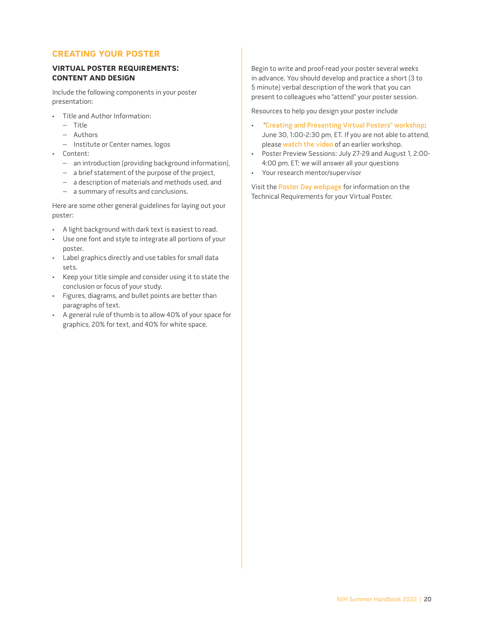# <span id="page-24-0"></span>**CREAting YoUR postER**

### **viRtUAL postER REQUiREMEnts: ContEnt AnD DEsign**

Include the following components in your poster presentation:

- Title and Author Information:
	- Title
	- Authors
	- Institute or Center names, logos
- Content:
	- an introduction (providing background information),
	- a brief statement of the purpose of the project,
	- a description of materials and methods used, and
	- a summary of results and conclusions.

Here are some other general guidelines for laying out your poster:

- A light background with dark text is easiest to read.
- Use one font and style to integrate all portions of your poster.
- Label graphics directly and use tables for small data sets.
- Keep your title simple and consider using it to state the conclusion or focus of your study.
- Figures, diagrams, and bullet points are better than paragraphs of text.
- A general rule of thumb is to allow 40% of your space for graphics, 20% for text, and 40% for white space.

Begin to write and proof-read your poster several weeks in advance. You should develop and practice a short (3 to 5 minute) verbal description of the work that you can present to colleagues who "attend" your poster session.

Resources to help you design your poster include

- "[Creating and Presenting Virtual Posters" workshop](https://www.training.nih.gov/events/view/_2/6535/): June 30, 1:00-2:30 pm, ET. If you are not able to attend, please [watch the video](https://www.youtube.com/watch?v=Llj7PmnJx9I) of an earlier workshop.
- Poster Preview Sessions: July 27-29 and August 1, 2:00- 4:00 pm, ET; we will answer all your questions
- Your research mentor/supervisor

Visit the [Poster Day webpage](https://www.training.nih.gov/summer_poster_day) for information on the Technical Requirements for your Virtual Poster.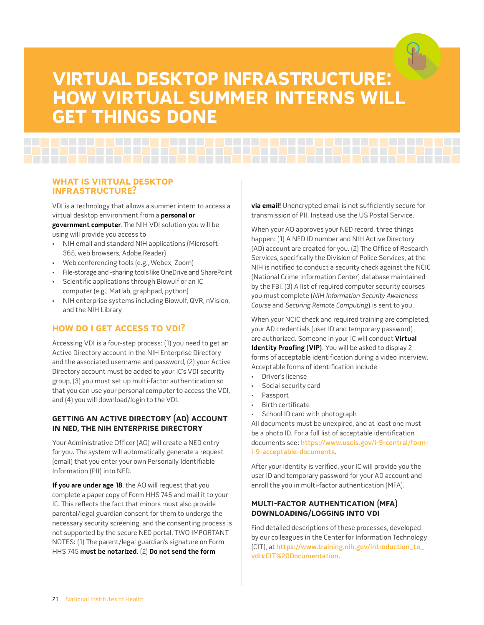# <span id="page-25-0"></span>**viRtUAL DEsKtop infRAstRUCtURE: hoW viRtUAL sUMMER intERns WiLL gEt things DonE**

# **WhAt is viRtUAL DEsKtop infRAstRUCtURE?**

VDI is a technology that allows a summer intern to access a virtual desktop environment from a **personal or government computer**. The NIH VDI solution you will be using will provide you access to

- NIH email and standard NIH applications (Microsoft 365, web browsers, Adobe Reader)
- Web conferencing tools (e.g., Webex, Zoom)
- File-storage and -sharing tools like OneDrive and SharePoint
- Scientific applications through Biowulf or an IC computer (e.g., Matlab, graphpad, python)
- NIH enterprise systems including Biowulf, QVR, nVision, and the NIH Library

# **hoW Do i gEt ACCEss to vDi?**

Accessing VDI is a four-step process: (1) you need to get an Active Directory account in the NIH Enterprise Directory and the associated username and password, (2) your Active Directory account must be added to your IC's VDI security group, (3) you must set up multi-factor authentication so that you can use your personal computer to access the VDI, and (4) you will download/login to the VDI.

# **gEtting An ACtivE DiRECtoRY (AD) ACCoUnt in nED, thE nih EntERpRisE DiRECtoRY**

Your Administrative Officer (AO) will create a NED entry for you. The system will automatically generate a request (email) that you enter your own Personally Identifiable Information (PII) into NED.

**If you are under age 18**, the AO will request that you complete a paper copy of Form HHS 745 and mail it to your IC. This reflects the fact that minors must also provide parental/legal guardian consent for them to undergo the necessary security screening, and the consenting process is not supported by the secure NED portal. TWO IMPORTANT NOTES: (1) The parent/legal guardian's signature on Form HHS 745 **must be notarized**. (2) **Do not send the form** 

**via email!** Unencrypted email is not sufficiently secure for transmission of PII. Instead use the US Postal Service.

When your AO approves your NED record, three things happen: (1) A NED ID number and NIH Active Directory (AD) account are created for you. (2) The Office of Research Services, specifically the Division of Police Services, at the NIH is notified to conduct a security check against the NCIC (National Crime Information Center) database maintained by the FBI. (3) A list of required computer security courses you must complete (NIH Information Security Awareness Course and Securing Remote Computing) is sent to you.

When your NCIC check and required training are completed, your AD credentials (user ID and temporary password) are authorized. Someone in your IC will conduct **Virtual Identity Proofing (VIP)**. You will be asked to display 2 forms of acceptable identification during a video interview. Acceptable forms of identification include

- Driver's license
- Social security card
- Passport
- Birth certificate
- School ID card with photograph

All documents must be unexpired, and at least one must be a photo ID. For a full list of acceptable identification documents see: [https://www.uscis.gov/i-9-central/form](https://www.uscis.gov/i-9-central/form-i-9-acceptable-documents)[i-9-acceptable-documents](https://www.uscis.gov/i-9-central/form-i-9-acceptable-documents).

After your identity is verified, your IC will provide you the user ID and temporary password for your AD account and enroll the you in multi-factor authentication (MFA).

# **MULti-fACtoR AUthEntiCAtion (MfA) DoWnLoADing/Logging into vDi**

Find detailed descriptions of these processes, developed by our colleagues in the Center for Information Technology (CIT), at [https://www.training.nih.gov/introduction\\_to\\_](https://www.training.nih.gov/introduction_to_vdi#CIT%20Documentation) [vdi#CIT%20Documentation](https://www.training.nih.gov/introduction_to_vdi#CIT%20Documentation).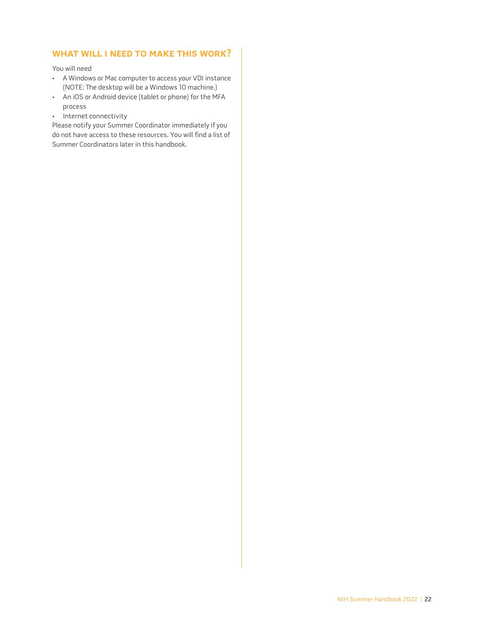# <span id="page-26-0"></span>**WhAt WiLL i nEED to MAKE this WoRK?**

You will need

- A Windows or Mac computer to access your VDI instance (NOTE: The desktop will be a Windows 10 machine.)
- An iOS or Android device (tablet or phone) for the MFA process
- Internet connectivity

Please notify your Summer Coordinator immediately if you do not have access to these resources. You will find a list of Summer Coordinators later in this handbook.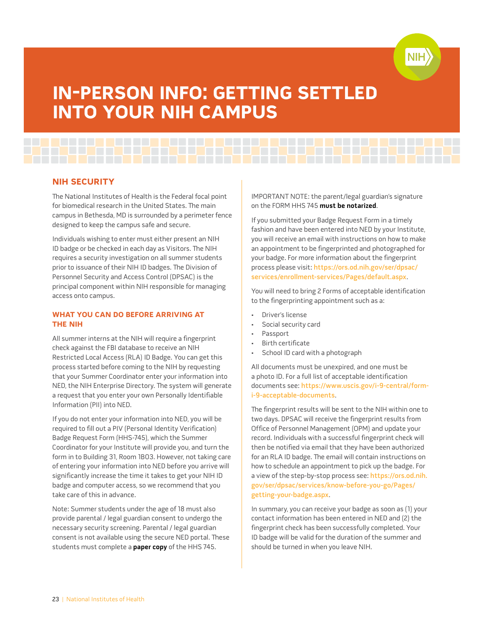

# <span id="page-27-0"></span>**in-pERson info: gEtting sEttLED into YoUR nih CAMpUs**

# **nih sECURitY**

The National Institutes of Health is the Federal focal point for biomedical research in the United States. The main campus in Bethesda, MD is surrounded by a perimeter fence designed to keep the campus safe and secure.

Individuals wishing to enter must either present an NIH ID badge or be checked in each day as Visitors. The NIH requires a security investigation on all summer students prior to issuance of their NIH ID badges. The Division of Personnel Security and Access Control (DPSAC) is the principal component within NIH responsible for managing access onto campus.

# **WhAt YoU CAn Do bEfoRE ARRiving At thE nih**

All summer interns at the NIH will require a fingerprint check against the FBI database to receive an NIH Restricted Local Access (RLA) ID Badge. You can get this process started before coming to the NIH by requesting that your Summer Coordinator enter your information into NED, the NIH Enterprise Directory. The system will generate a request that you enter your own Personally Identifiable Information (PII) into NED.

If you do not enter your information into NED, you will be required to fill out a PIV (Personal Identity Verification) Badge Request Form (HHS-745), which the Summer Coordinator for your Institute will provide you, and turn the form in to Building 31, Room 1B03. However, not taking care of entering your information into NED before you arrive will significantly increase the time it takes to get your NIH ID badge and computer access, so we recommend that you take care of this in advance.

Note: Summer students under the age of 18 must also provide parental / legal guardian consent to undergo the necessary security screening. Parental / legal guardian consent is not available using the secure NED portal. These students must complete a **paper copy** of the HHS 745.

IMPORTANT NOTE: the parent/legal guardian's signature on the FORM HHS 745 **must be notarized**.

If you submitted your Badge Request Form in a timely fashion and have been entered into NED by your Institute, you will receive an email with instructions on how to make an appointment to be fingerprinted and photographed for your badge. For more information about the fingerprint process please visit: [https://ors.od.nih.gov/ser/dpsac/](https://ors.od.nih.gov/ser/dpsac/services/enrollment-services/Pages/default.aspx) [services/enrollment-services/Pages/default.aspx](https://ors.od.nih.gov/ser/dpsac/services/enrollment-services/Pages/default.aspx).

You will need to bring 2 Forms of acceptable identification to the fingerprinting appointment such as a:

- Driver's license
- Social security card
- Passport
- Birth certificate
- School ID card with a photograph

All documents must be unexpired, and one must be a photo ID. For a full list of acceptable identification documents see: [https://www.uscis.gov/i-9-central/form](https://www.uscis.gov/i-9-central/form-i-9-acceptable-documents)[i-9-acceptable-documents](https://www.uscis.gov/i-9-central/form-i-9-acceptable-documents).

The fingerprint results will be sent to the NIH within one to two days. DPSAC will receive the fingerprint results from Office of Personnel Management (OPM) and update your record. Individuals with a successful fingerprint check will then be notified via email that they have been authorized for an RLA ID badge. The email will contain instructions on how to schedule an appointment to pick up the badge. For a view of the step-by-stop process see: [https://ors.od.nih.](https://ors.od.nih.gov/ser/dpsac/services/know-before-you-go/Pages/getting-your-badge.aspx) [gov/ser/dpsac/services/know-before-you-go/Pages/](https://ors.od.nih.gov/ser/dpsac/services/know-before-you-go/Pages/getting-your-badge.aspx) [getting-your-badge.aspx](https://ors.od.nih.gov/ser/dpsac/services/know-before-you-go/Pages/getting-your-badge.aspx).

In summary, you can receive your badge as soon as (1) your contact information has been entered in NED and (2) the fingerprint check has been successfully completed. Your ID badge will be valid for the duration of the summer and should be turned in when you leave NIH.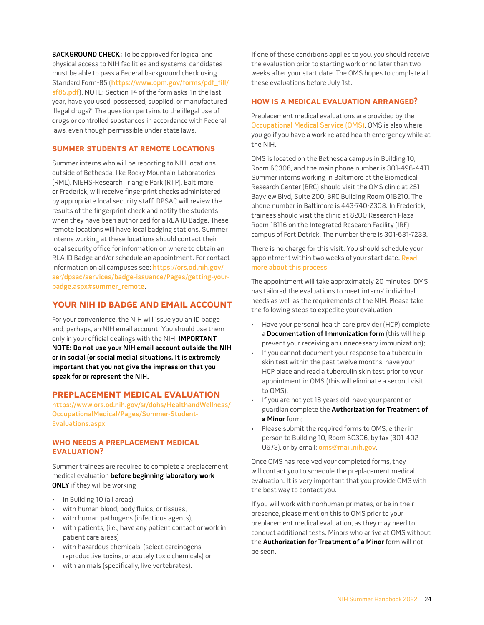<span id="page-28-0"></span>**BACKGROUND CHECK:** To be approved for logical and physical access to NIH facilities and systems, candidates must be able to pass a Federal background check using Standard Form-85 ([https://www.opm.gov/forms/pdf\\_fill/](https://www.opm.gov/forms/pdf_fill/sf85.pdf) [sf85.pdf](https://www.opm.gov/forms/pdf_fill/sf85.pdf)). NOTE: Section 14 of the form asks "In the last year, have you used, possessed, supplied, or manufactured illegal drugs?" The question pertains to the illegal use of drugs or controlled substances in accordance with Federal laws, even though permissible under state laws.

# **sUMMER stUDEnts At REMotE LoCAtions**

Summer interns who will be reporting to NIH locations outside of Bethesda, like Rocky Mountain Laboratories (RML), NIEHS-Research Triangle Park (RTP), Baltimore, or Frederick, will receive fingerprint checks administered by appropriate local security staff. DPSAC will review the results of the fingerprint check and notify the students when they have been authorized for a RLA ID Badge. These remote locations will have local badging stations. Summer interns working at these locations should contact their local security office for information on where to obtain an RLA ID Badge and/or schedule an appointment. For contact information on all campuses see: [https://ors.od.nih.gov/](https://ors.od.nih.gov/ser/dpsac/services/badge-issuance/Pages/getting-your-badge.aspx#summer_remote) [ser/dpsac/services/badge-issuance/Pages/getting-your](https://ors.od.nih.gov/ser/dpsac/services/badge-issuance/Pages/getting-your-badge.aspx#summer_remote)[badge.aspx#summer\\_remote](https://ors.od.nih.gov/ser/dpsac/services/badge-issuance/Pages/getting-your-badge.aspx#summer_remote).

# **YoUR nih iD bADgE AnD EMAiL ACCoUnt**

For your convenience, the NIH will issue you an ID badge and, perhaps, an NIH email account. You should use them only in your official dealings with the NIH. **IMPORTANT NOTE: Do not use your NIH email account outside the NIH or in social (or social media) situations. It is extremely important that you not give the impression that you speak for or represent the NIH.**

# **pREpLACEMEnt MEDiCAL EvALUAtion**

[https://www.ors.od.nih.gov/sr/dohs/HealthandWellness/](https://www.ors.od.nih.gov/sr/dohs/HealthandWellness/OccupationalMedical/Pages/Summer-Student-Evaluations.aspx) [OccupationalMedical/Pages/Summer-Student-](https://www.ors.od.nih.gov/sr/dohs/HealthandWellness/OccupationalMedical/Pages/Summer-Student-Evaluations.aspx)[Evaluations.aspx](https://www.ors.od.nih.gov/sr/dohs/HealthandWellness/OccupationalMedical/Pages/Summer-Student-Evaluations.aspx)

# **Who nEEDs A pREpLACEMEnt MEDiCAL EVALUATION?**

Summer trainees are required to complete a preplacement medical evaluation **before beginning laboratory work ONLY** if they will be working

- in Building 10 (all areas),
- with human blood, body fluids, or tissues,
- with human pathogens (infectious agents),
- with patients, (i.e., have any patient contact or work in patient care areas)
- with hazardous chemicals, (select carcinogens, reproductive toxins, or acutely toxic chemicals) or
- with animals (specifically, live vertebrates).

If one of these conditions applies to you, you should receive the evaluation prior to starting work or no later than two weeks after your start date. The OMS hopes to complete all these evaluations before July 1st.

# **hoW is A MEDiCAL EvALUAtion ARRAngED?**

Preplacement medical evaluations are provided by the [Occupational Medical Service \(OMS\)](https://ors.od.nih.gov/sr/dohs/HealthAndWellness/OccupationalMedical/Pages/oms_main.aspx). OMS is also where you go if you have a work-related health emergency while at the NIH.

OMS is located on the Bethesda campus in Building 10, Room 6C306, and the main phone number is 301-496-4411. Summer interns working in Baltimore at the Biomedical Research Center (BRC) should visit the OMS clinic at 251 Bayview Blvd, Suite 200, BRC Building Room 01B210. The phone number in Baltimore is 443-740-2308. In Frederick, trainees should visit the clinic at 8200 Research Plaza Room 1B116 on the Integrated Research Facility (IRF) campus of Fort Detrick. The number there is 301-631-7233.

There is no charge for this visit. You should schedule your appointment within two weeks of your start date. [Read](https://ors.od.nih.gov/sr/dohs/HealthAndWellness/OccupationalMedical/Pages/Summer-Student-Evaluations.aspx)  [more about this process](https://ors.od.nih.gov/sr/dohs/HealthAndWellness/OccupationalMedical/Pages/Summer-Student-Evaluations.aspx).

The appointment will take approximately 20 minutes. OMS has tailored the evaluations to meet interns' individual needs as well as the requirements of the NIH. Please take the following steps to expedite your evaluation:

- Have your personal health care provider (HCP) complete a **Documentation of Immunization form** (this will help prevent your receiving an unnecessary immunization);
- If you cannot document your response to a tuberculin skin test within the past twelve months, have your HCP place and read a tuberculin skin test prior to your appointment in OMS (this will eliminate a second visit to OMS);
- If you are not yet 18 years old, have your parent or guardian complete the **Authorization for Treatment of a Minor** form;
- Please submit the required forms to OMS, either in person to Building 10, Room 6C306, by fax (301-402 0673), or by email: [oms@mail.nih.gov](mailto:oms@mail.nih.gov).

Once OMS has received your completed forms, they will contact you to schedule the preplacement medical evaluation. It is very important that you provide OMS with the best way to contact you.

If you will work with nonhuman primates, or be in their presence, please mention this to OMS prior to your preplacement medical evaluation, as they may need to conduct additional tests. Minors who arrive at OMS without the **Authorization for Treatment of a Minor** form will not be seen.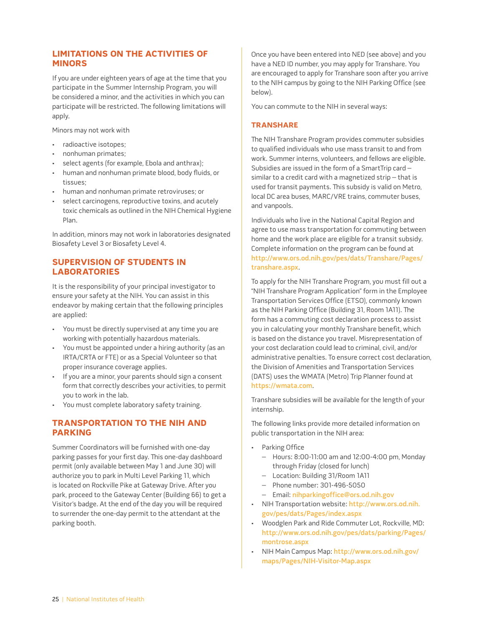# <span id="page-29-0"></span>**LiMitAtions on thE ACtivitiEs of MinoRs**

If you are under eighteen years of age at the time that you participate in the Summer Internship Program, you will be considered a minor, and the activities in which you can participate will be restricted. The following limitations will apply.

Minors may not work with

- radioactive isotopes;
- nonhuman primates;
- select agents (for example, Ebola and anthrax);
- human and nonhuman primate blood, body fluids, or tissues;
- human and nonhuman primate retroviruses; or
- select carcinogens, reproductive toxins, and acutely toxic chemicals as outlined in the NIH Chemical Hygiene Plan.

In addition, minors may not work in laboratories designated Biosafety Level 3 or Biosafety Level 4.

# **sUpERvision of stUDEnts in LAboRAtoRiEs**

It is the responsibility of your principal investigator to ensure your safety at the NIH. You can assist in this endeavor by making certain that the following principles are applied:

- You must be directly supervised at any time you are working with potentially hazardous materials.
- You must be appointed under a hiring authority (as an IRTA/CRTA or FTE) or as a Special Volunteer so that proper insurance coverage applies.
- If you are a minor, your parents should sign a consent form that correctly describes your activities, to permit you to work in the lab.
- You must complete laboratory safety training.

# **tRAnspoRtAtion to thE nih AnD pARKing**

Summer Coordinators will be furnished with one-day parking passes for your first day. This one-day dashboard permit (only available between May 1 and June 30) will authorize you to park in Multi Level Parking 11, which is located on Rockville Pike at Gateway Drive. After you park, proceed to the Gateway Center (Building 66) to get a Visitor's badge. At the end of the day you will be required to surrender the one-day permit to the attendant at the parking booth.

Once you have been entered into NED (see above) and you have a NED ID number, you may apply for Transhare. You are encouraged to apply for Transhare soon after you arrive to the NIH campus by going to the NIH Parking Office (see below).

You can commute to the NIH in several ways:

### **tRAnshARE**

The NIH Transhare Program provides commuter subsidies to qualified individuals who use mass transit to and from work. Summer interns, volunteers, and fellows are eligible. Subsidies are issued in the form of a SmartTrip card – similar to a credit card with a magnetized strip – that is used for transit payments. This subsidy is valid on Metro, local DC area buses, MARC/VRE trains, commuter buses, and vanpools.

Individuals who live in the National Capital Region and agree to use mass transportation for commuting between home and the work place are eligible for a transit subsidy. Complete information on the program can be found at [http://www.ors.od.nih.gov/pes/dats/Transhare/Pages/](http://www.ors.od.nih.gov/pes/dats/Transhare/Pages/transhare.aspx) [transhare.aspx](http://www.ors.od.nih.gov/pes/dats/Transhare/Pages/transhare.aspx).

To apply for the NIH Transhare Program, you must fill out a "NIH Transhare Program Application" form in the Employee Transportation Services Office (ETSO), commonly known as the NIH Parking Office (Building 31, Room 1A11). The form has a commuting cost declaration process to assist you in calculating your monthly Transhare benefit, which is based on the distance you travel. Misrepresentation of your cost declaration could lead to criminal, civil, and/or administrative penalties. To ensure correct cost declaration, the Division of Amenities and Transportation Services (DATS) uses the WMATA (Metro) Trip Planner found at <https://wmata.com>.

Transhare subsidies will be available for the length of your internship.

The following links provide more detailed information on public transportation in the NIH area:

- Parking Office
	- Hours: 8:00-11:00 am and 12:00-4:00 pm, Monday through Friday (closed for lunch)
	- Location: Building 31/Room 1A11
	- Phone number: 301-496-5050
	- Email: [nihparkingoffice@ors.od.nih.gov](mailto:nihparkingoffice@ors.od.nih.gov)
- NIH Transportation website: [http://www.ors.od.nih.](http://www.ors.od.nih.gov/pes/dats/Pages/index.aspx) [gov/pes/dats/Pages/index.aspx](http://www.ors.od.nih.gov/pes/dats/Pages/index.aspx)
- Woodglen Park and Ride Commuter Lot, Rockville, MD: [http://www.ors.od.nih.gov/pes/dats/parking/Pages/](http://www.ors.od.nih.gov/pes/dats/parking/Pages/montrose.aspx) [montrose.aspx](http://www.ors.od.nih.gov/pes/dats/parking/Pages/montrose.aspx)
- NIH Main Campus Map: [http://www.ors.od.nih.gov/](http://www.ors.od.nih.gov/maps/Pages/NIH-Visitor-Map.aspx) [maps/Pages/NIH-Visitor-Map.aspx](http://www.ors.od.nih.gov/maps/Pages/NIH-Visitor-Map.aspx)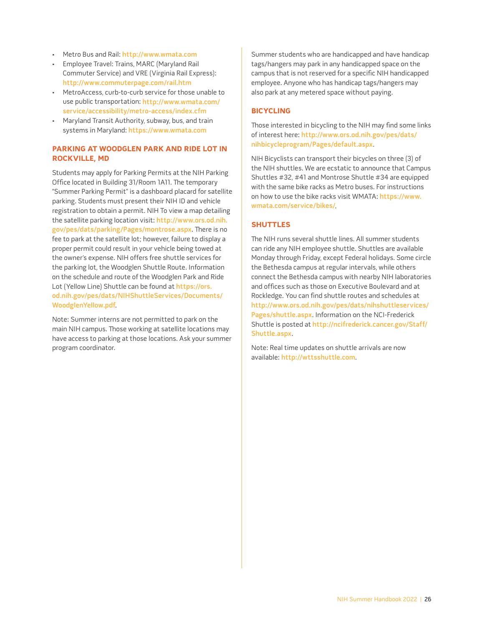- <span id="page-30-0"></span>• Metro Bus and Rail: <http://www.wmata.com>
- Employee Travel: Trains, MARC (Maryland Rail Commuter Service) and VRE (Virginia Rail Express): <http://www.commuterpage.com/rail.htm>
- MetroAccess, curb-to-curb service for those unable to use public transportation: [http://www.wmata.com/](http://www.wmata.com/service/accessibility/metro-access/index.cfm) [service/accessibility/metro-access/index.cfm](http://www.wmata.com/service/accessibility/metro-access/index.cfm)
- Maryland Transit Authority, subway, bus, and train systems in Maryland: <https://www.wmata.com>

# **pARKing At WooDgLEn pARK AnD RiDE Lot in RoCKviLLE, MD**

Students may apply for Parking Permits at the NIH Parking Office located in Building 31/Room 1A11. The temporary "Summer Parking Permit" is a dashboard placard for satellite parking. Students must present their NIH ID and vehicle registration to obtain a permit. NIH To view a map detailing the satellite parking location visit: [http://www.ors.od.nih.](http://www.ors.od.nih.gov/pes/dats/parking/Pages/montrose.aspx) [gov/pes/dats/parking/Pages/montrose.aspx](http://www.ors.od.nih.gov/pes/dats/parking/Pages/montrose.aspx). There is no fee to park at the satellite lot; however, failure to display a proper permit could result in your vehicle being towed at the owner's expense. NIH offers free shuttle services for the parking lot, the Woodglen Shuttle Route. Information on the schedule and route of the Woodglen Park and Ride Lot (Yellow Line) Shuttle can be found at [https://ors.](https://ors.od.nih.gov/pes/dats/NIHShuttleServices/Documents/WoodglenYellow.pdf) [od.nih.gov/pes/dats/NIHShuttleServices/Documents/](https://ors.od.nih.gov/pes/dats/NIHShuttleServices/Documents/WoodglenYellow.pdf) [WoodglenYellow.pdf](https://ors.od.nih.gov/pes/dats/NIHShuttleServices/Documents/WoodglenYellow.pdf).

Note: Summer interns are not permitted to park on the main NIH campus. Those working at satellite locations may have access to parking at those locations. Ask your summer program coordinator.

Summer students who are handicapped and have handicap tags/hangers may park in any handicapped space on the campus that is not reserved for a specific NIH handicapped employee. Anyone who has handicap tags/hangers may also park at any metered space without paying.

### **biCYCLing**

Those interested in bicycling to the NIH may find some links of interest here: [http://www.ors.od.nih.gov/pes/dats/](http://www.ors.od.nih.gov/pes/dats/nihbicycleprogram/Pages/default.aspx) [nihbicycleprogram/Pages/default.aspx](http://www.ors.od.nih.gov/pes/dats/nihbicycleprogram/Pages/default.aspx).

NIH Bicyclists can transport their bicycles on three (3) of the NIH shuttles. We are ecstatic to announce that Campus Shuttles #32, #41 and Montrose Shuttle #34 are equipped with the same bike racks as Metro buses. For instructions on how to use the bike racks visit WMATA: [https://www.](https://www.wmata.com/service/bikes/) [wmata.com/service/bikes/](https://www.wmata.com/service/bikes/).

### **shUttLEs**

The NIH runs several shuttle lines. All summer students can ride any NIH employee shuttle. Shuttles are available Monday through Friday, except Federal holidays. Some circle the Bethesda campus at regular intervals, while others connect the Bethesda campus with nearby NIH laboratories and offices such as those on Executive Boulevard and at Rockledge. You can find shuttle routes and schedules at [http://www.ors.od.nih.gov/pes/dats/nihshuttleservices/](http://www.ors.od.nih.gov/pes/dats/nihshuttleservices/Pages/shuttle.aspx) [Pages/shuttle.aspx](http://www.ors.od.nih.gov/pes/dats/nihshuttleservices/Pages/shuttle.aspx). Information on the NCI-Frederick Shuttle is posted at [http://ncifrederick.cancer.gov/Staff/](http://ncifrederick.cancer.gov/Staff/Shuttle.aspx) [Shuttle.aspx](http://ncifrederick.cancer.gov/Staff/Shuttle.aspx).

Note: Real time updates on shuttle arrivals are now available: <http://wttsshuttle.com>.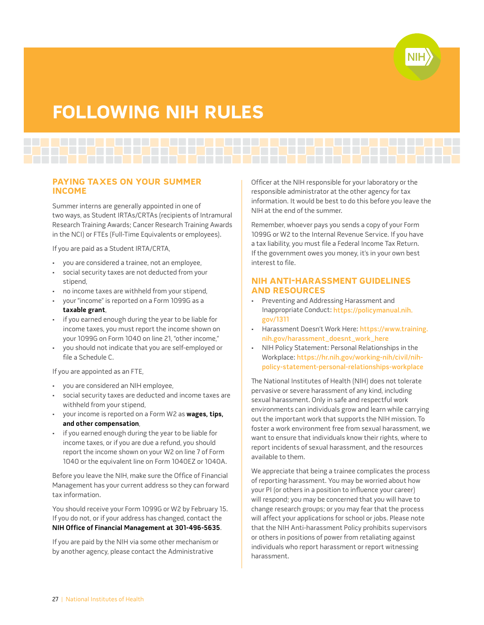

# <span id="page-31-0"></span>**foLLoWing nih RULEs**

**pAYing tAxEs on YoUR sUMMER inCoME**

Summer interns are generally appointed in one of two ways, as Student IRTAs/CRTAs (recipients of Intramural Research Training Awards; Cancer Research Training Awards in the NCI) or FTEs (Full-Time Equivalents or employees).

If you are paid as a Student IRTA/CRTA,

- you are considered a trainee, not an employee,
- social security taxes are not deducted from your stipend,
- no income taxes are withheld from your stipend,
- your "income" is reported on a Form 1099G as a **taxable grant**,
- if you earned enough during the year to be liable for income taxes, you must report the income shown on your 1099G on Form 1040 on line 21, "other income,"
- you should not indicate that you are self-employed or file a Schedule C.

If you are appointed as an FTE,

- you are considered an NIH employee,
- social security taxes are deducted and income taxes are withheld from your stipend,
- your income is reported on a Form W2 as **wages, tips, and other compensation**,
- if you earned enough during the year to be liable for income taxes, or if you are due a refund, you should report the income shown on your W2 on line 7 of Form 1040 or the equivalent line on Form 1040EZ or 1040A.

Before you leave the NIH, make sure the Office of Financial Management has your current address so they can forward tax information.

You should receive your Form 1099G or W2 by February 15. If you do not, or if your address has changed, contact the **NIH Office of Financial Management at 301-496-5635**.

If you are paid by the NIH via some other mechanism or by another agency, please contact the Administrative

Officer at the NIH responsible for your laboratory or the responsible administrator at the other agency for tax information. It would be best to do this before you leave the NIH at the end of the summer.

Remember, whoever pays you sends a copy of your Form 1099G or W2 to the Internal Revenue Service. If you have a tax liability, you must file a Federal Income Tax Return. If the government owes you money, it's in your own best interest to file.

# **nih Anti-hARAssMEnt gUiDELinEs AnD REsoURCEs**

- Preventing and Addressing Harassment and Inappropriate Conduct: [https://policymanual.nih.](https://policymanual.nih.gov/1311) [gov/1311](https://policymanual.nih.gov/1311)
- Harassment Doesn't Work Here: [https://www.training.](https://www.training.nih.gov/harassment_doesnt_work_here) [nih.gov/harassment\\_doesnt\\_work\\_here](https://www.training.nih.gov/harassment_doesnt_work_here)
- [NIH Policy Statement: Personal Relationships in the](https://hr.nih.gov/working-nih/civil/nih-policy-statement-personal-relationships-workplace)  Workplace: [https://hr.nih.gov/working-nih/civil/nih](https://hr.nih.gov/working-nih/civil/nih-policy-statement-personal-relationships-workplace)[policy-statement-personal-relationships-workplace](https://hr.nih.gov/working-nih/civil/nih-policy-statement-personal-relationships-workplace)

The National Institutes of Health (NIH) does not tolerate pervasive or severe harassment of any kind, including sexual harassment. Only in safe and respectful work environments can individuals grow and learn while carrying out the important work that supports the NIH mission. To foster a work environment free from sexual harassment, we want to ensure that individuals know their rights, where to report incidents of sexual harassment, and the resources available to them.

We appreciate that being a trainee complicates the process of reporting harassment. You may be worried about how your PI (or others in a position to influence your career) will respond; you may be concerned that you will have to change research groups; or you may fear that the process will affect your applications for school or jobs. Please note that the NIH Anti-harassment Policy prohibits supervisors or others in positions of power from retaliating against individuals who report harassment or report witnessing harassment.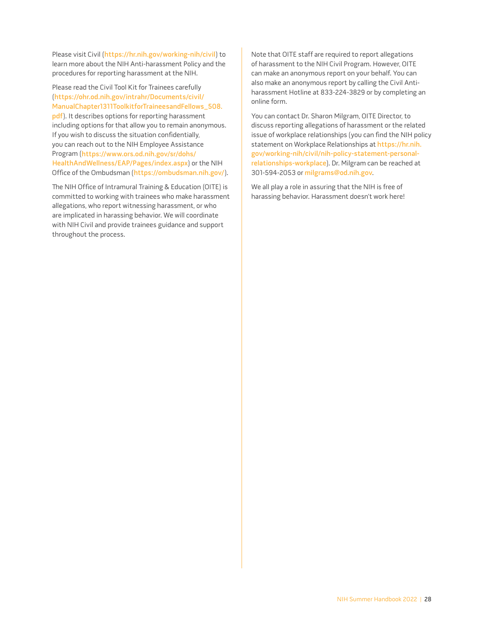Please visit Civil (<https://hr.nih.gov/working-nih/civil>) to learn more about the NIH Anti-harassment Policy and the procedures for reporting harassment at the NIH.

Please read the Civil Tool Kit for Trainees carefully ([https://ohr.od.nih.gov/intrahr/Documents/civil/](https://ohr.od.nih.gov/intrahr/Documents/civil/ManualChapter1311ToolkitforTraineesandFellows_508.pdf) [ManualChapter1311ToolkitforTraineesandFellows\\_508.](https://ohr.od.nih.gov/intrahr/Documents/civil/ManualChapter1311ToolkitforTraineesandFellows_508.pdf) [pdf](https://ohr.od.nih.gov/intrahr/Documents/civil/ManualChapter1311ToolkitforTraineesandFellows_508.pdf)). It describes options for reporting harassment including options for that allow you to remain anonymous. If you wish to discuss the situation confidentially, you can reach out to the NIH Employee Assistance Program ([https://www.ors.od.nih.gov/sr/dohs/](https://www.ors.od.nih.gov/sr/dohs/HealthAndWellness/EAP/Pages/index.aspx) [HealthAndWellness/EAP/Pages/index.aspx](https://www.ors.od.nih.gov/sr/dohs/HealthAndWellness/EAP/Pages/index.aspx)) or the NIH Office of the Ombudsman (<https://ombudsman.nih.gov/>).

The NIH Office of Intramural Training & Education (OITE) is committed to working with trainees who make harassment allegations, who report witnessing harassment, or who are implicated in harassing behavior. We will coordinate with NIH Civil and provide trainees guidance and support throughout the process.

Note that OITE staff are required to report allegations of harassment to the NIH Civil Program. However, OITE can make an anonymous report on your behalf. You can also make an anonymous report by calling the Civil Antiharassment Hotline at 833-224-3829 or by completing an online form.

You can contact Dr. Sharon Milgram, OITE Director, to discuss reporting allegations of harassment or the related issue of workplace relationships (you can find the NIH policy statement on Workplace Relationships at [https://hr.nih.](https://hr.nih.gov/working-nih/civil/nih-policy-statement-personal-relationships-workplace) [gov/working-nih/civil/nih-policy-statement-personal](https://hr.nih.gov/working-nih/civil/nih-policy-statement-personal-relationships-workplace)[relationships-workplace](https://hr.nih.gov/working-nih/civil/nih-policy-statement-personal-relationships-workplace)). Dr. Milgram can be reached at 301-594-2053 or [milgrams@od.nih.gov](mailto:milgrams@od.nih.gov).

We all play a role in assuring that the NIH is free of harassing behavior. Harassment doesn't work here!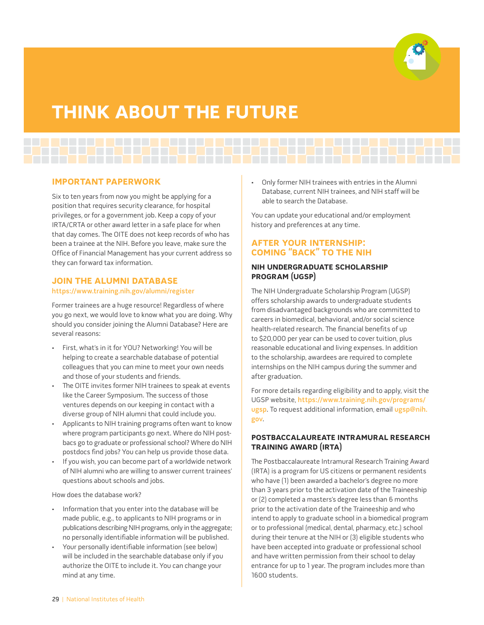

# <span id="page-33-0"></span>**thinK AboUt thE fUtURE**

# **iMpoRtAnt pApERWoRK**

Six to ten years from now you might be applying for a position that requires security clearance, for hospital privileges, or for a government job. Keep a copy of your IRTA/CRTA or other award letter in a safe place for when that day comes. The OITE does not keep records of who has been a trainee at the NIH. Before you leave, make sure the Office of Financial Management has your current address so they can forward tax information.

# **JOIN THE ALUMNI DATABASE** https://www.training.nih.gov/alumni/register

Former trainees are a huge resource! Regardless of where you go next, we would love to know what you are doing. Why should you consider joining the Alumni Database? Here are several reasons:

- First, what's in it for YOU? Networking! You will be helping to create a searchable database of potential colleagues that you can mine to meet your own needs and those of your students and friends.
- The OITE invites former NIH trainees to speak at events like the Career Symposium. The success of those ventures depends on our keeping in contact with a diverse group of NIH alumni that could include you.
- Applicants to NIH training programs often want to know where program participants go next. Where do NIH postbacs go to graduate or professional school? Where do NIH postdocs find jobs? You can help us provide those data.
- If you wish, you can become part of a worldwide network of NIH alumni who are willing to answer current trainees' questions about schools and jobs.

How does the database work?

- Information that you enter into the database will be made public, e.g., to applicants to NIH programs or in publications describing NIH programs, only in the aggregate; no personally identifiable information will be published.
- Your personally identifiable information (see below) will be included in the searchable database only if you authorize the OITE to include it. You can change your mind at any time.

• Only former NIH trainees with entries in the Alumni Database, current NIH trainees, and NIH staff will be able to search the Database.

You can update your educational and/or employment history and preferences at any time.

# **AftER YoUR intERnship: CoMing "bACK" to thE nih**

# **nih UnDERgRADUAtE sChoLARship pRogRAM (Ugsp)**

The NIH Undergraduate Scholarship Program (UGSP) offers scholarship awards to undergraduate students from disadvantaged backgrounds who are committed to careers in biomedical, behavioral, and/or social science health-related research. The financial benefits of up to \$20,000 per year can be used to cover tuition, plus reasonable educational and living expenses. In addition to the scholarship, awardees are required to complete internships on the NIH campus during the summer and after graduation.

For more details regarding eligibility and to apply, visit the UGSP website, [https://www.training.nih.gov/programs/](https://www.training.nih.gov/programs/ugsp) [ugsp](https://www.training.nih.gov/programs/ugsp). To request additional information, email [ugsp@nih.](mailto:ugsp@nih.gov) [gov](mailto:ugsp@nih.gov).

# **postbACCALAUREAtE intRAMURAL REsEARCh tRAining AWARD (iRtA)**

The Postbaccalaureate Intramural Research Training Award (IRTA) is a program for US citizens or permanent residents who have (1) been awarded a bachelor's degree no more than 3 years prior to the activation date of the Traineeship or (2) completed a masters's degree less than 6 months prior to the activation date of the Traineeship and who intend to apply to graduate school in a biomedical program or to professional (medical, dental, pharmacy, etc.) school during their tenure at the NIH or (3) eligible students who have been accepted into graduate or professional school and have written permission from their school to delay entrance for up to 1 year. The program includes more than 1600 students.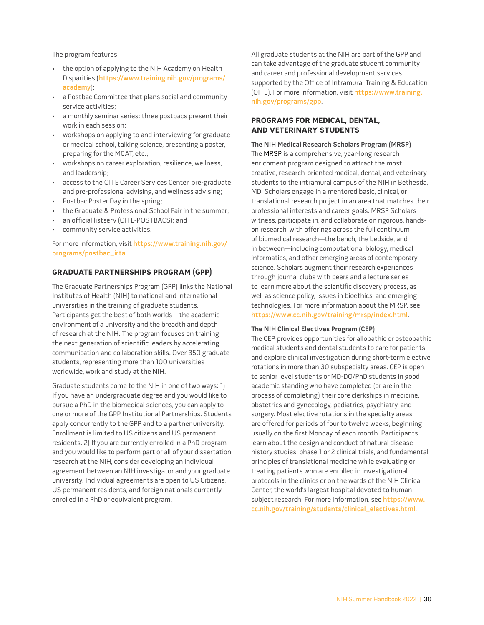<span id="page-34-0"></span>The program features

- the option of applying to the NIH Academy on Health Disparities ([https://www.training.nih.gov/programs/](https://www.training.nih.gov/programs/academy) [academy](https://www.training.nih.gov/programs/academy));
- a Postbac Committee that plans social and community service activities;
- a monthly seminar series: three postbacs present their work in each session;
- workshops on applying to and interviewing for graduate or medical school, talking science, presenting a poster, preparing for the MCAT, etc.;
- workshops on career exploration, resilience, wellness, and leadership;
- access to the OITE Career Services Center, pre-graduate and pre-professional advising, and wellness advising;
- Postbac Poster Day in the spring;
- the Graduate & Professional School Fair in the summer;
- an official listserv (OITE-POSTBACS); and
- community service activities.

For more information, visit [https://www.training.nih.gov/](https://www.training.nih.gov/programs/postbac_irta) [programs/postbac\\_irta](https://www.training.nih.gov/programs/postbac_irta).

### **gRADUAtE pARtnERships pRogRAM (gpp)**

The Graduate Partnerships Program (GPP) links the National Institutes of Health (NIH) to national and international universities in the training of graduate students. Participants get the best of both worlds – the academic environment of a university and the breadth and depth of research at the NIH. The program focuses on training the next generation of scientific leaders by accelerating communication and collaboration skills. Over 350 graduate students, representing more than 100 universities worldwide, work and study at the NIH.

Graduate students come to the NIH in one of two ways: 1) If you have an undergraduate degree and you would like to pursue a PhD in the biomedical sciences, you can apply to one or more of the GPP Institutional Partnerships. Students apply concurrently to the GPP and to a partner university. Enrollment is limited to US citizens and US permanent residents. 2) If you are currently enrolled in a PhD program and you would like to perform part or all of your dissertation research at the NIH, consider developing an individual agreement between an NIH investigator and your graduate university. Individual agreements are open to US Citizens, US permanent residents, and foreign nationals currently enrolled in a PhD or equivalent program.

All graduate students at the NIH are part of the GPP and can take advantage of the graduate student community and career and professional development services supported by the Office of Intramural Training & Education (OITE). For more information, visit [https://www.training.](https://www.training.nih.gov/programs/gpp) [nih.gov/programs/gpp](https://www.training.nih.gov/programs/gpp).

### **pRogRAMs foR MEDiCAL, DEntAL, AnD vEtERinARY stUDEnts**

### **The NIH Medical Research Scholars Program (MRSP)**

The MRSP is a comprehensive, year-long research enrichment program designed to attract the most creative, research-oriented medical, dental, and veterinary students to the intramural campus of the NIH in Bethesda, MD. Scholars engage in a mentored basic, clinical, or translational research project in an area that matches their professional interests and career goals. MRSP Scholars witness, participate in, and collaborate on rigorous, handson research, with offerings across the full continuum of biomedical research—the bench, the bedside, and in between—including computational biology, medical informatics, and other emerging areas of contemporary science. Scholars augment their research experiences through journal clubs with peers and a lecture series to learn more about the scientific discovery process, as well as science policy, issues in bioethics, and emerging technologies. For more information about the MRSP, see <https://www.cc.nih.gov/training/mrsp/index.html>.

### **The NIH Clinical Electives Program (CEP)**

The CEP provides opportunities for allopathic or osteopathic medical students and dental students to care for patients and explore clinical investigation during short-term elective rotations in more than 30 subspecialty areas. CEP is open to senior level students or MD-DO/PhD students in good academic standing who have completed (or are in the process of completing) their core clerkships in medicine, obstetrics and gynecology, pediatrics, psychiatry, and surgery. Most elective rotations in the specialty areas are offered for periods of four to twelve weeks, beginning usually on the first Monday of each month. Participants learn about the design and conduct of natural disease history studies, phase 1 or 2 clinical trials, and fundamental principles of translational medicine while evaluating or treating patients who are enrolled in investigational protocols in the clinics or on the wards of the NIH Clinical Center, the world's largest hospital devoted to human subject research. For more information, see [https://www.](https://www.cc.nih.gov/training/students/clinical_electives.html) [cc.nih.gov/training/students/clinical\\_electives.html](https://www.cc.nih.gov/training/students/clinical_electives.html).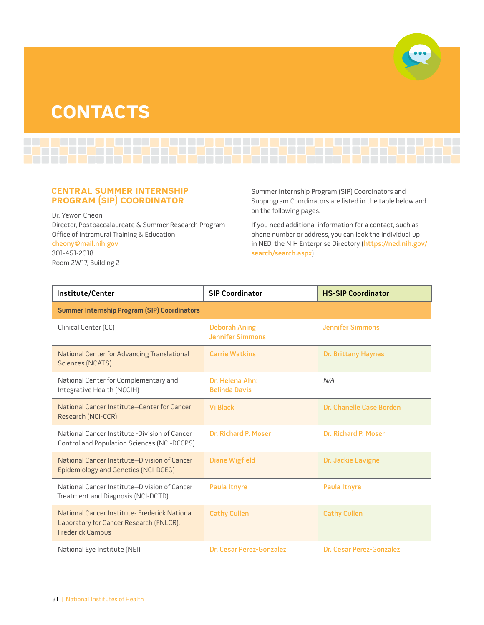# <span id="page-35-0"></span>**ContACts**



# **CEntRAL sUMMER intERnship pRogRAM (sip) CooRDinAtoR**

Dr. Yewon Cheon Director, Postbaccalaureate & Summer Research Program Office of Intramural Training & Education [cheony@mail.nih.gov](mailto:cheony@mail.nih.gov) 301-451-2018 Room 2W17, Building 2

Summer Internship Program (SIP) Coordinators and Subprogram Coordinators are listed in the table below and on the following pages.

If you need additional information for a contact, such as phone number or address, you can look the individual up in NED, the NIH Enterprise Directory ([https://ned.nih.gov/](https://ned.nih.gov/search/search.aspx) [search/search.aspx](https://ned.nih.gov/search/search.aspx)).

| Institute/Center                                                                                                    | <b>SIP Coordinator</b>                           | <b>HS-SIP Coordinator</b>  |
|---------------------------------------------------------------------------------------------------------------------|--------------------------------------------------|----------------------------|
| <b>Summer Internship Program (SIP) Coordinators</b>                                                                 |                                                  |                            |
| Clinical Center (CC)                                                                                                | <b>Deborah Aning;</b><br><b>Jennifer Simmons</b> | <b>Jennifer Simmons</b>    |
| National Center for Advancing Translational<br>Sciences (NCATS)                                                     | <b>Carrie Watkins</b>                            | <b>Dr. Brittany Haynes</b> |
| National Center for Complementary and<br>Integrative Health (NCCIH)                                                 | Dr. Helena Ahn:<br><b>Belinda Davis</b>          | N/A                        |
| National Cancer Institute-Center for Cancer<br>Research (NCI-CCR)                                                   | <b>Vi Black</b>                                  | Dr. Chanelle Case Borden   |
| National Cancer Institute -Division of Cancer<br>Control and Population Sciences (NCI-DCCPS)                        | Dr. Richard P. Moser                             | Dr. Richard P. Moser       |
| National Cancer Institute-Division of Cancer<br>Epidemiology and Genetics (NCI-DCEG)                                | <b>Diane Wigfield</b>                            | Dr. Jackie Lavigne         |
| National Cancer Institute-Division of Cancer<br>Treatment and Diagnosis (NCI-DCTD)                                  | Paula Itnyre                                     | Paula Itnyre               |
| National Cancer Institute- Frederick National<br>Laboratory for Cancer Research (FNLCR),<br><b>Frederick Campus</b> | <b>Cathy Cullen</b>                              | <b>Cathy Cullen</b>        |
| National Eye Institute (NEI)                                                                                        | Dr. Cesar Perez-Gonzalez                         | Dr. Cesar Perez-Gonzalez   |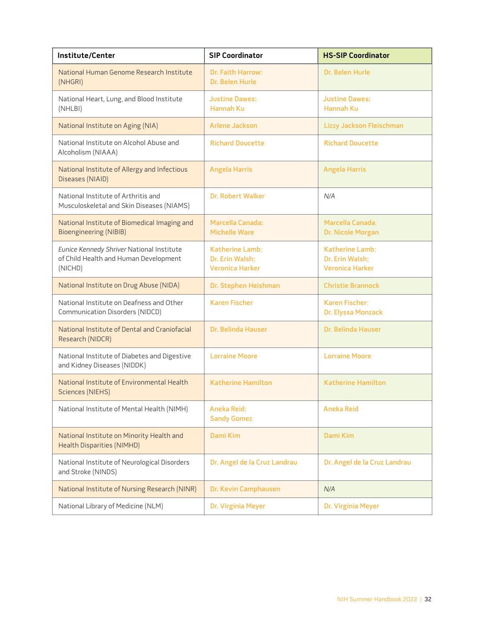| Institute/Center                                                                              | <b>SIP Coordinator</b>                                       | <b>HS-SIP Coordinator</b>                                    |
|-----------------------------------------------------------------------------------------------|--------------------------------------------------------------|--------------------------------------------------------------|
| National Human Genome Research Institute<br>(NHGRI)                                           | <b>Dr. Faith Harrow:</b><br>Dr. Belen Hurle                  | Dr. Belen Hurle                                              |
| National Heart, Lung, and Blood Institute<br>(NHLBI)                                          | <b>Justine Dawes:</b><br><b>Hannah Ku</b>                    | <b>Justine Dawes:</b><br>Hannah Ku                           |
| National Institute on Aging (NIA)                                                             | <b>Arlene Jackson</b>                                        | <b>Lizzy Jackson Fleischman</b>                              |
| National Institute on Alcohol Abuse and<br>Alcoholism (NIAAA)                                 | <b>Richard Doucette</b>                                      | <b>Richard Doucette</b>                                      |
| National Institute of Allergy and Infectious<br>Diseases (NIAID)                              | <b>Angela Harris</b>                                         | <b>Angela Harris</b>                                         |
| National Institute of Arthritis and<br>Musculoskeletal and Skin Diseases (NIAMS)              | <b>Dr. Robert Walker</b>                                     | N/A                                                          |
| National Institute of Biomedical Imaging and<br><b>Bioengineering (NIBIB)</b>                 | <b>Marcella Canada:</b><br><b>Michelle Ware</b>              | Marcella Canada;<br>Dr. Nicole Morgan                        |
| Eunice Kennedy Shriver National Institute<br>of Child Health and Human Development<br>(NICHD) | Katherine Lamb;<br>Dr. Erin Walsh;<br><b>Veronica Harker</b> | Katherine Lamb:<br>Dr. Erin Walsh:<br><b>Veronica Harker</b> |
| National Institute on Drug Abuse (NIDA)                                                       | Dr. Stephen Heishman                                         | <b>Christie Brannock</b>                                     |
| National Institute on Deafness and Other<br>Communication Disorders (NIDCD)                   | <b>Karen Fischer</b>                                         | Karen Fischer;<br>Dr. Elyssa Monzack                         |
| National Institute of Dental and Craniofacial<br>Research (NIDCR)                             | Dr. Belinda Hauser                                           | <b>Dr. Belinda Hauser</b>                                    |
| National Institute of Diabetes and Digestive<br>and Kidney Diseases (NIDDK)                   | <b>Lorraine Moore</b>                                        | <b>Lorraine Moore</b>                                        |
| National Institute of Environmental Health<br><b>Sciences (NIEHS)</b>                         | <b>Katherine Hamilton</b>                                    | <b>Katherine Hamilton</b>                                    |
| National Institute of Mental Health (NIMH)                                                    | <b>Aneka Reid;</b><br><b>Sandy Gomez</b>                     | <b>Aneka Reid</b>                                            |
| National Institute on Minority Health and<br><b>Health Disparities (NIMHD)</b>                | Dami Kim                                                     | <b>Dami Kim</b>                                              |
| National Institute of Neurological Disorders<br>and Stroke (NINDS)                            | Dr. Angel de la Cruz Landrau                                 | Dr. Angel de la Cruz Landrau                                 |
| National Institute of Nursing Research (NINR)                                                 | Dr. Kevin Camphausen                                         | N/A                                                          |
| National Library of Medicine (NLM)                                                            | Dr. Virginia Meyer                                           | Dr. Virginia Meyer                                           |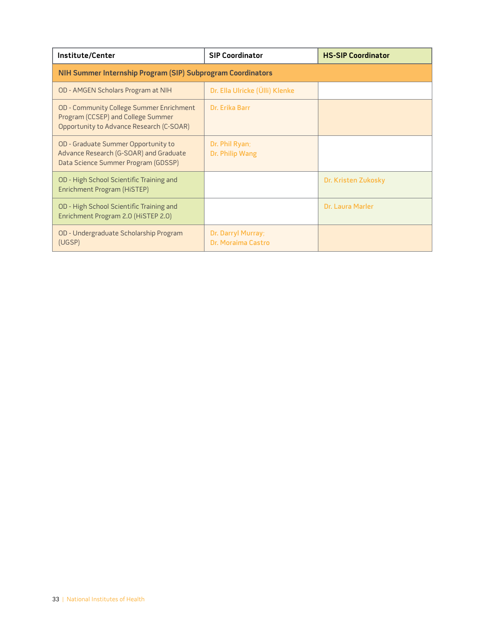<span id="page-37-0"></span>

| Institute/Center                                                                                                           | <b>SIP Coordinator</b>                   | <b>HS-SIP Coordinator</b> |
|----------------------------------------------------------------------------------------------------------------------------|------------------------------------------|---------------------------|
| NIH Summer Internship Program (SIP) Subprogram Coordinators                                                                |                                          |                           |
| OD - AMGEN Scholars Program at NIH                                                                                         | Dr. Ella Ulricke (Ülli) Klenke           |                           |
| OD - Community College Summer Enrichment<br>Program (CCSEP) and College Summer<br>Opportunity to Advance Research (C-SOAR) | Dr. Erika Barr                           |                           |
| OD - Graduate Summer Opportunity to<br>Advance Research (G-SOAR) and Graduate<br>Data Science Summer Program (GDSSP)       | Dr. Phil Ryan;<br>Dr. Philip Wang        |                           |
| OD - High School Scientific Training and<br>Enrichment Program (HiSTEP)                                                    |                                          | Dr. Kristen Zukosky       |
| OD - High School Scientific Training and<br>Enrichment Program 2.0 (HiSTEP 2.0)                                            |                                          | Dr. Laura Marler          |
| OD - Undergraduate Scholarship Program<br>(UGSP)                                                                           | Dr. Darryl Murray;<br>Dr. Moraima Castro |                           |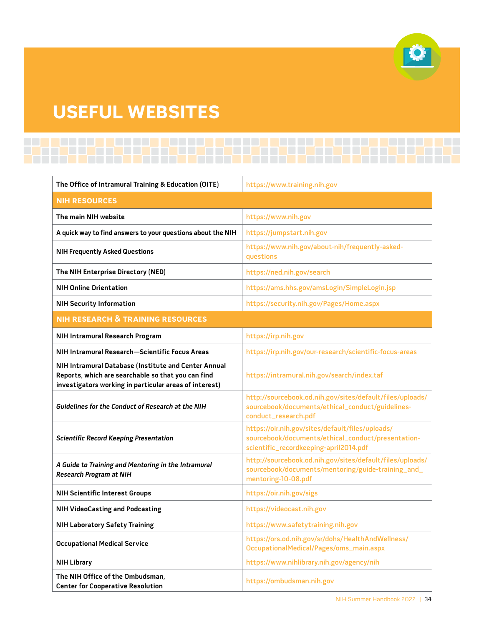# <span id="page-38-0"></span>**UsEfUL WEbsitEs**

| The Office of Intramural Training & Education (OITE)                                                                                                                 | https://www.training.nih.gov                                                                                                                     |
|----------------------------------------------------------------------------------------------------------------------------------------------------------------------|--------------------------------------------------------------------------------------------------------------------------------------------------|
| <b>NIH RESOURCES</b>                                                                                                                                                 |                                                                                                                                                  |
| The main NIH website                                                                                                                                                 | https://www.nih.gov                                                                                                                              |
| A quick way to find answers to your questions about the NIH                                                                                                          | https://jumpstart.nih.gov                                                                                                                        |
| <b>NIH Frequently Asked Questions</b>                                                                                                                                | https://www.nih.gov/about-nih/frequently-asked-<br>questions                                                                                     |
| The NIH Enterprise Directory (NED)                                                                                                                                   | https://ned.nih.gov/search                                                                                                                       |
| <b>NIH Online Orientation</b>                                                                                                                                        | https://ams.hhs.gov/amsLogin/SimpleLogin.jsp                                                                                                     |
| <b>NIH Security Information</b>                                                                                                                                      | https://security.nih.gov/Pages/Home.aspx                                                                                                         |
| <b>NIH RESEARCH &amp; TRAINING RESOURCES</b>                                                                                                                         |                                                                                                                                                  |
| NIH Intramural Research Program                                                                                                                                      | https://irp.nih.gov                                                                                                                              |
| NIH Intramural Research-Scientific Focus Areas                                                                                                                       | https://irp.nih.gov/our-research/scientific-focus-areas                                                                                          |
| NIH Intramural Database (Institute and Center Annual<br>Reports, which are searchable so that you can find<br>investigators working in particular areas of interest) | https://intramural.nih.gov/search/index.taf                                                                                                      |
| Guidelines for the Conduct of Research at the NIH                                                                                                                    | http://sourcebook.od.nih.gov/sites/default/files/uploads/<br>sourcebook/documents/ethical_conduct/guidelines-<br>conduct_research.pdf            |
| <b>Scientific Record Keeping Presentation</b>                                                                                                                        | https://oir.nih.gov/sites/default/files/uploads/<br>sourcebook/documents/ethical_conduct/presentation-<br>scientific_recordkeeping-april2014.pdf |
| A Guide to Training and Mentoring in the Intramural<br><b>Research Program at NIH</b>                                                                                | http://sourcebook.od.nih.gov/sites/default/files/uploads/<br>sourcebook/documents/mentoring/guide-training_and_<br>mentoring-10-08.pdf           |
| <b>NIH Scientific Interest Groups</b>                                                                                                                                | https://oir.nih.gov/sigs                                                                                                                         |
| <b>NIH VideoCasting and Podcasting</b>                                                                                                                               | https://videocast.nih.gov                                                                                                                        |
| <b>NIH Laboratory Safety Training</b>                                                                                                                                | https://www.safetytraining.nih.gov                                                                                                               |
| <b>Occupational Medical Service</b>                                                                                                                                  | https://ors.od.nih.gov/sr/dohs/HealthAndWellness/<br>OccupationalMedical/Pages/oms_main.aspx                                                     |
| <b>NIH Library</b>                                                                                                                                                   | https://www.nihlibrary.nih.gov/agency/nih                                                                                                        |
| The NIH Office of the Ombudsman,<br><b>Center for Cooperative Resolution</b>                                                                                         | https://ombudsman.nih.gov                                                                                                                        |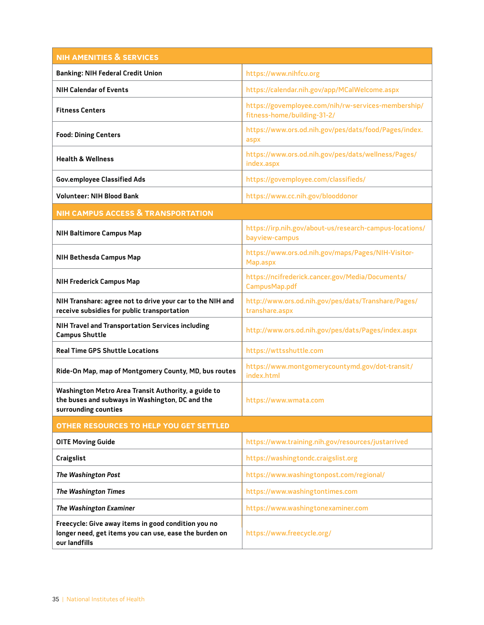| <b>NIH AMENITIES &amp; SERVICES</b>                                                                                            |                                                                                    |
|--------------------------------------------------------------------------------------------------------------------------------|------------------------------------------------------------------------------------|
| <b>Banking: NIH Federal Credit Union</b>                                                                                       | https://www.nihfcu.org                                                             |
| <b>NIH Calendar of Events</b>                                                                                                  | https://calendar.nih.gov/app/MCalWelcome.aspx                                      |
| <b>Fitness Centers</b>                                                                                                         | https://govemployee.com/nih/rw-services-membership/<br>fitness-home/building-31-2/ |
| <b>Food: Dining Centers</b>                                                                                                    | https://www.ors.od.nih.gov/pes/dats/food/Pages/index.<br>aspx                      |
| <b>Health &amp; Wellness</b>                                                                                                   | https://www.ors.od.nih.gov/pes/dats/wellness/Pages/<br>index.aspx                  |
| <b>Gov.employee Classified Ads</b>                                                                                             | https://govemployee.com/classifieds/                                               |
| <b>Volunteer: NIH Blood Bank</b>                                                                                               | https://www.cc.nih.gov/blooddonor                                                  |
| <b>NIH CAMPUS ACCESS &amp; TRANSPORTATION</b>                                                                                  |                                                                                    |
| <b>NIH Baltimore Campus Map</b>                                                                                                | https://irp.nih.gov/about-us/research-campus-locations/<br>bayview-campus          |
| NIH Bethesda Campus Map                                                                                                        | https://www.ors.od.nih.gov/maps/Pages/NIH-Visitor-<br>Map.aspx                     |
| <b>NIH Frederick Campus Map</b>                                                                                                | https://ncifrederick.cancer.gov/Media/Documents/<br>CampusMap.pdf                  |
| NIH Transhare: agree not to drive your car to the NIH and<br>receive subsidies for public transportation                       | http://www.ors.od.nih.gov/pes/dats/Transhare/Pages/<br>transhare.aspx              |
| NIH Travel and Transportation Services including<br><b>Campus Shuttle</b>                                                      | http://www.ors.od.nih.gov/pes/dats/Pages/index.aspx                                |
| <b>Real Time GPS Shuttle Locations</b>                                                                                         | https://wttsshuttle.com                                                            |
| Ride-On Map, map of Montgomery County, MD, bus routes                                                                          | https://www.montgomerycountymd.gov/dot-transit/<br>index.html                      |
| Washington Metro Area Transit Authority, a guide to<br>the buses and subways in Washington, DC and the<br>surrounding counties | https://www.wmata.com                                                              |
| OTHER RESOURCES TO HELP YOU GET SETTLED                                                                                        |                                                                                    |
| <b>OITE Moving Guide</b>                                                                                                       | https://www.training.nih.gov/resources/justarrived                                 |
| <b>Craigslist</b>                                                                                                              | https://washingtondc.craigslist.org                                                |
| The Washington Post                                                                                                            | https://www.washingtonpost.com/regional/                                           |
| <b>The Washington Times</b>                                                                                                    | https://www.washingtontimes.com                                                    |
| The Washington Examiner                                                                                                        | https://www.washingtonexaminer.com                                                 |
| Freecycle: Give away items in good condition you no<br>longer need, get items you can use, ease the burden on<br>our landfills | https://www.freecycle.org/                                                         |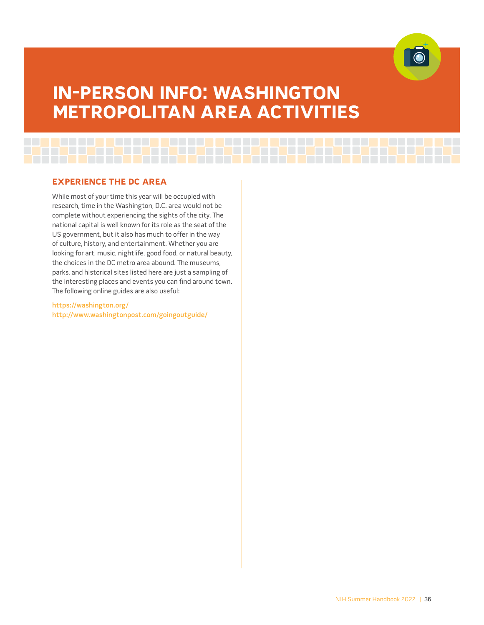

# <span id="page-40-0"></span>**in-pERson info: WAshington MEtRopoLitAn AREA ACtivitiEs**

<u>u ma uu ma uu ma uu ma uu ma uu ma uu ma uu maa</u>

# **ExpERiEnCE thE DC AREA**

While most of your time this year will be occupied with research, time in the Washington, D.C. area would not be complete without experiencing the sights of the city. The national capital is well known for its role as the seat of the US government, but it also has much to offer in the way of culture, history, and entertainment. Whether you are looking for art, music, nightlife, good food, or natural beauty, the choices in the DC metro area abound. The museums, parks, and historical sites listed here are just a sampling of the interesting places and events you can find around town. The following online guides are also useful:

<https://washington.org/> <http://www.washingtonpost.com/goingoutguide/>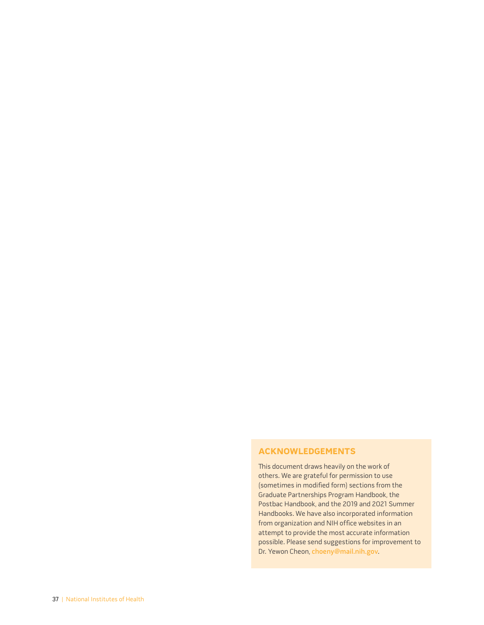# <span id="page-41-0"></span>**ACKnoWLEDgEMEnts**

This document draws heavily on the work of others. We are grateful for permission to use (sometimes in modified form) sections from the Graduate Partnerships Program Handbook, the Postbac Handbook, and the 2019 and 2021 Summer Handbooks. We have also incorporated information from organization and NIH office websites in an attempt to provide the most accurate information possible. Please send suggestions for improvement to Dr. Yewon Cheon, [choeny@mail.nih.gov](mailto:choeny@mail.nih.gov).